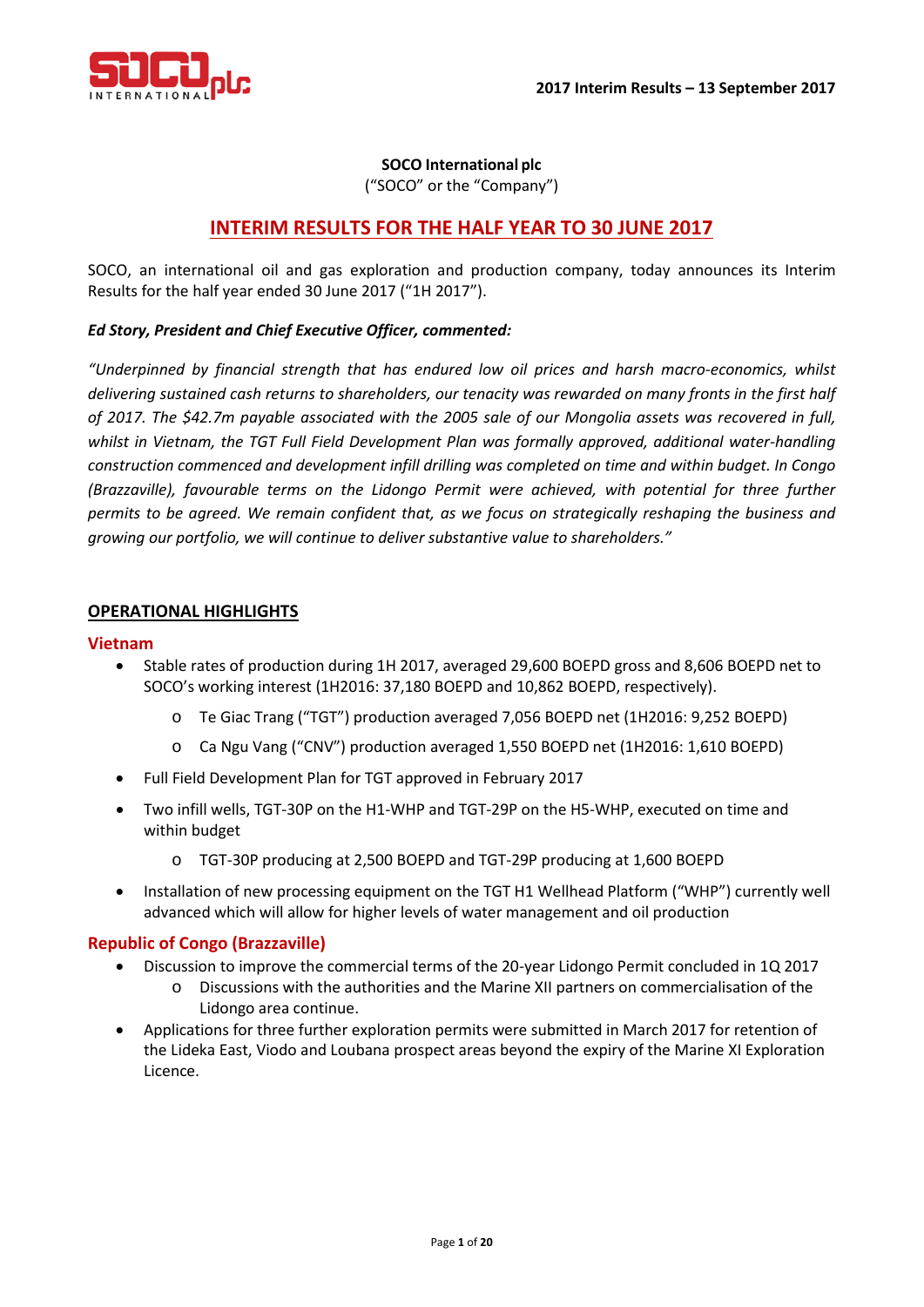

## **SOCO International plc**

("SOCO" or the "Company")

# **INTERIM RESULTS FOR THE HALF YEAR TO 30 JUNE 2017**

SOCO, an international oil and gas exploration and production company, today announces its Interim Results for the half year ended 30 June 2017 ("1H 2017").

## *Ed Story, President and Chief Executive Officer, commented:*

*"Underpinned by financial strength that has endured low oil prices and harsh macro-economics, whilst delivering sustained cash returns to shareholders, our tenacity was rewarded on many fronts in the first half of 2017. The \$42.7m payable associated with the 2005 sale of our Mongolia assets was recovered in full, whilst in Vietnam, the TGT Full Field Development Plan was formally approved, additional water-handling construction commenced and development infill drilling was completed on time and within budget. In Congo (Brazzaville), favourable terms on the Lidongo Permit were achieved, with potential for three further permits to be agreed. We remain confident that, as we focus on strategically reshaping the business and growing our portfolio, we will continue to deliver substantive value to shareholders."*

## **OPERATIONAL HIGHLIGHTS**

## **Vietnam**

- Stable rates of production during 1H 2017, averaged 29,600 BOEPD gross and 8,606 BOEPD net to SOCO's working interest (1H2016: 37,180 BOEPD and 10,862 BOEPD, respectively).
	- o Te Giac Trang ("TGT") production averaged 7,056 BOEPD net (1H2016: 9,252 BOEPD)
	- o Ca Ngu Vang ("CNV") production averaged 1,550 BOEPD net (1H2016: 1,610 BOEPD)
- Full Field Development Plan for TGT approved in February 2017
- Two infill wells, TGT-30P on the H1-WHP and TGT-29P on the H5-WHP, executed on time and within budget
	- o TGT-30P producing at 2,500 BOEPD and TGT-29P producing at 1,600 BOEPD
- Installation of new processing equipment on the TGT H1 Wellhead Platform ("WHP") currently well advanced which will allow for higher levels of water management and oil production

## **Republic of Congo (Brazzaville)**

- Discussion to improve the commercial terms of the 20-year Lidongo Permit concluded in 1Q 2017
	- o Discussions with the authorities and the Marine XII partners on commercialisation of the Lidongo area continue.
- Applications for three further exploration permits were submitted in March 2017 for retention of the Lideka East, Viodo and Loubana prospect areas beyond the expiry of the Marine XI Exploration Licence.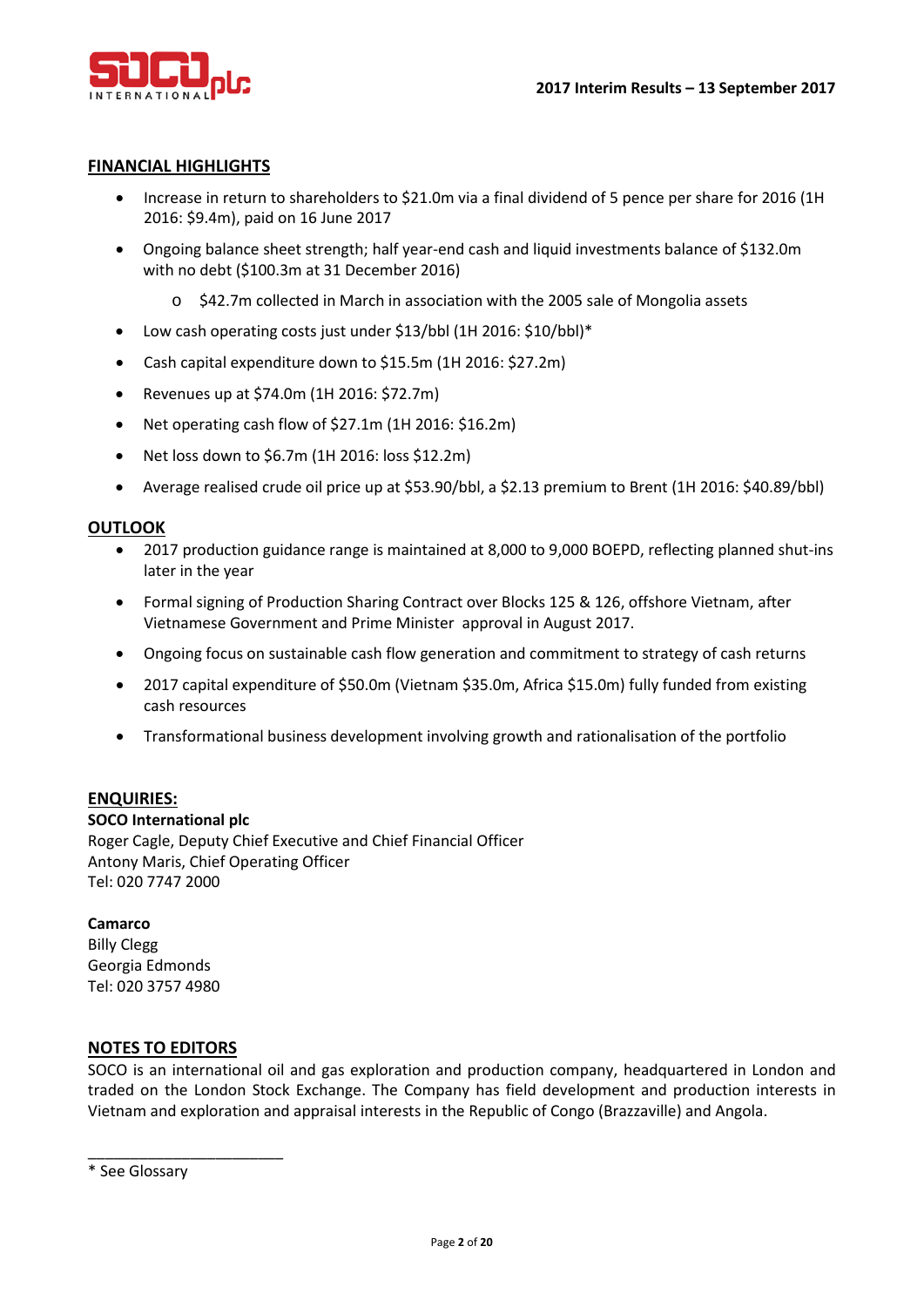

## **FINANCIAL HIGHLIGHTS**

- Increase in return to shareholders to \$21.0m via a final dividend of 5 pence per share for 2016 (1H 2016: \$9.4m), paid on 16 June 2017
- Ongoing balance sheet strength; half year-end cash and liquid investments balance of \$132.0m with no debt (\$100.3m at 31 December 2016)
	- o \$42.7m collected in March in association with the 2005 sale of Mongolia assets
- Low cash operating costs just under \$13/bbl (1H 2016: \$10/bbl)\*
- Cash capital expenditure down to \$15.5m (1H 2016: \$27.2m)
- Revenues up at \$74.0m (1H 2016: \$72.7m)
- Net operating cash flow of \$27.1m (1H 2016: \$16.2m)
- Net loss down to \$6.7m (1H 2016: loss \$12.2m)
- Average realised crude oil price up at \$53.90/bbl, a \$2.13 premium to Brent (1H 2016: \$40.89/bbl)

#### **OUTLOOK**

- 2017 production guidance range is maintained at 8,000 to 9,000 BOEPD, reflecting planned shut-ins later in the year
- Formal signing of Production Sharing Contract over Blocks 125 & 126, offshore Vietnam, after Vietnamese Government and Prime Minister approval in August 2017.
- Ongoing focus on sustainable cash flow generation and commitment to strategy of cash returns
- 2017 capital expenditure of \$50.0m (Vietnam \$35.0m, Africa \$15.0m) fully funded from existing cash resources
- Transformational business development involving growth and rationalisation of the portfolio

#### **ENQUIRIES:**

**SOCO International plc**

Roger Cagle, Deputy Chief Executive and Chief Financial Officer Antony Maris, Chief Operating Officer Tel: 020 7747 2000

**Camarco** Billy Clegg Georgia Edmonds Tel: 020 3757 4980

#### **NOTES TO EDITORS**

\_\_\_\_\_\_\_\_\_\_\_\_\_\_\_\_\_\_\_\_\_\_\_

SOCO is an international oil and gas exploration and production company, headquartered in London and traded on the London Stock Exchange. The Company has field development and production interests in Vietnam and exploration and appraisal interests in the Republic of Congo (Brazzaville) and Angola.

\* See Glossary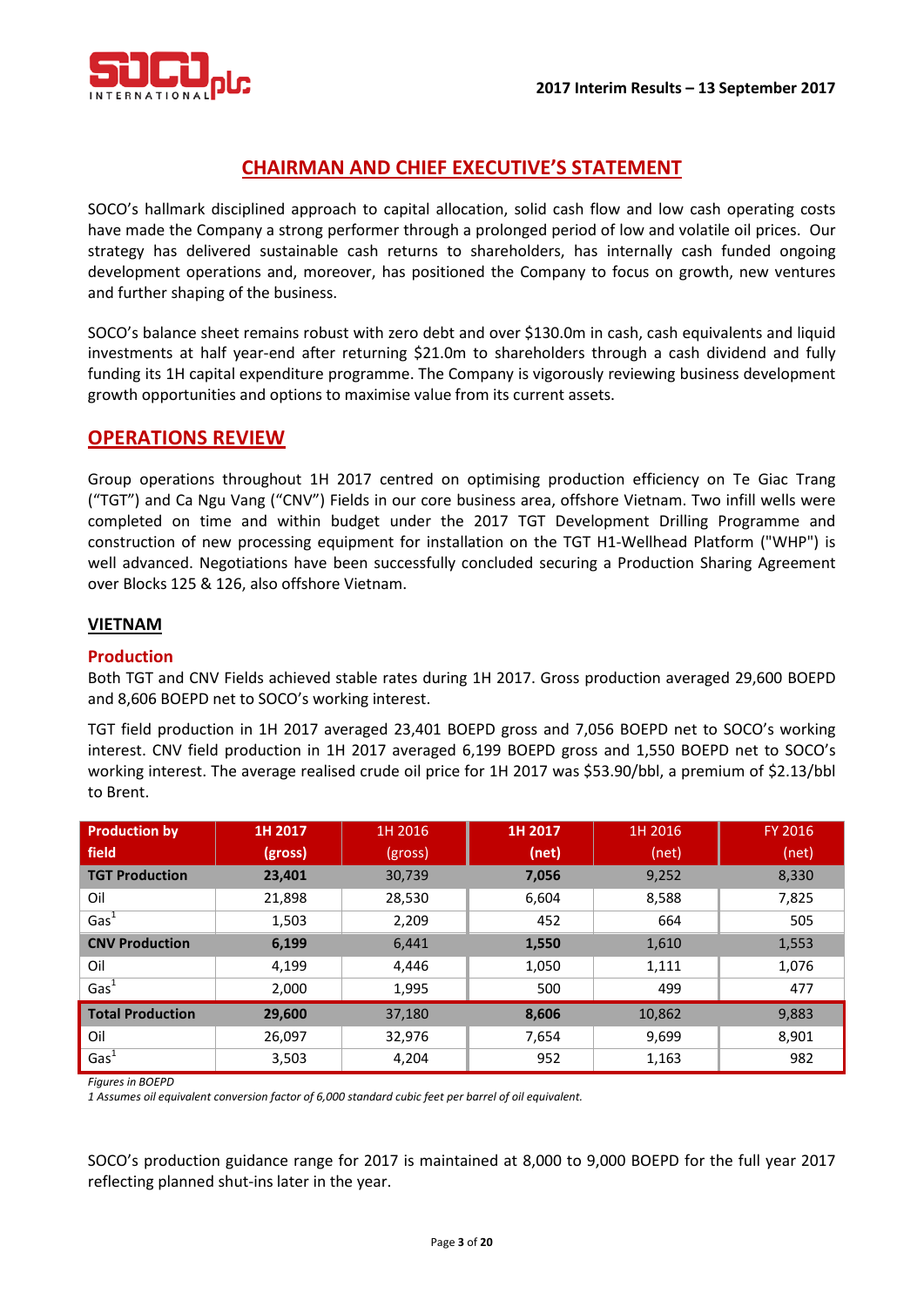

# **CHAIRMAN AND CHIEF EXECUTIVE'S STATEMENT**

SOCO's hallmark disciplined approach to capital allocation, solid cash flow and low cash operating costs have made the Company a strong performer through a prolonged period of low and volatile oil prices. Our strategy has delivered sustainable cash returns to shareholders, has internally cash funded ongoing development operations and, moreover, has positioned the Company to focus on growth, new ventures and further shaping of the business.

SOCO's balance sheet remains robust with zero debt and over \$130.0m in cash, cash equivalents and liquid investments at half year-end after returning \$21.0m to shareholders through a cash dividend and fully funding its 1H capital expenditure programme. The Company is vigorously reviewing business development growth opportunities and options to maximise value from its current assets.

## **OPERATIONS REVIEW**

Group operations throughout 1H 2017 centred on optimising production efficiency on Te Giac Trang ("TGT") and Ca Ngu Vang ("CNV") Fields in our core business area, offshore Vietnam. Two infill wells were completed on time and within budget under the 2017 TGT Development Drilling Programme and construction of new processing equipment for installation on the TGT H1-Wellhead Platform ("WHP") is well advanced. Negotiations have been successfully concluded securing a Production Sharing Agreement over Blocks 125 & 126, also offshore Vietnam.

## **VIETNAM**

## **Production**

Both TGT and CNV Fields achieved stable rates during 1H 2017. Gross production averaged 29,600 BOEPD and 8,606 BOEPD net to SOCO's working interest.

TGT field production in 1H 2017 averaged 23,401 BOEPD gross and 7,056 BOEPD net to SOCO's working interest. CNV field production in 1H 2017 averaged 6,199 BOEPD gross and 1,550 BOEPD net to SOCO's working interest. The average realised crude oil price for 1H 2017 was \$53.90/bbl, a premium of \$2.13/bbl to Brent.

| <b>Production by</b>    | 1H 2017 | 1H 2016 | 1H 2017 | 1H 2016 | FY 2016 |
|-------------------------|---------|---------|---------|---------|---------|
| field                   | (gross) | (gross) | (net)   | (net)   | (net)   |
| <b>TGT Production</b>   | 23,401  | 30,739  | 7,056   | 9,252   | 8,330   |
| Oil                     | 21,898  | 28,530  | 6,604   | 8,588   | 7,825   |
| Gas <sup>1</sup>        | 1,503   | 2,209   | 452     | 664     | 505     |
| <b>CNV Production</b>   | 6,199   | 6,441   | 1,550   | 1,610   | 1,553   |
| Oil                     | 4,199   | 4,446   | 1,050   | 1,111   | 1,076   |
| Gas <sup>1</sup>        | 2.000   | 1,995   | 500     | 499     | 477     |
| <b>Total Production</b> | 29,600  | 37,180  | 8,606   | 10,862  | 9,883   |
| Oil                     | 26.097  | 32,976  | 7,654   | 9,699   | 8,901   |
| Gas <sup>1</sup>        | 3,503   | 4,204   | 952     | 1,163   | 982     |

*Figures in BOEPD*

*1 Assumes oil equivalent conversion factor of 6,000 standard cubic feet per barrel of oil equivalent.*

SOCO's production guidance range for 2017 is maintained at 8,000 to 9,000 BOEPD for the full year 2017 reflecting planned shut-ins later in the year.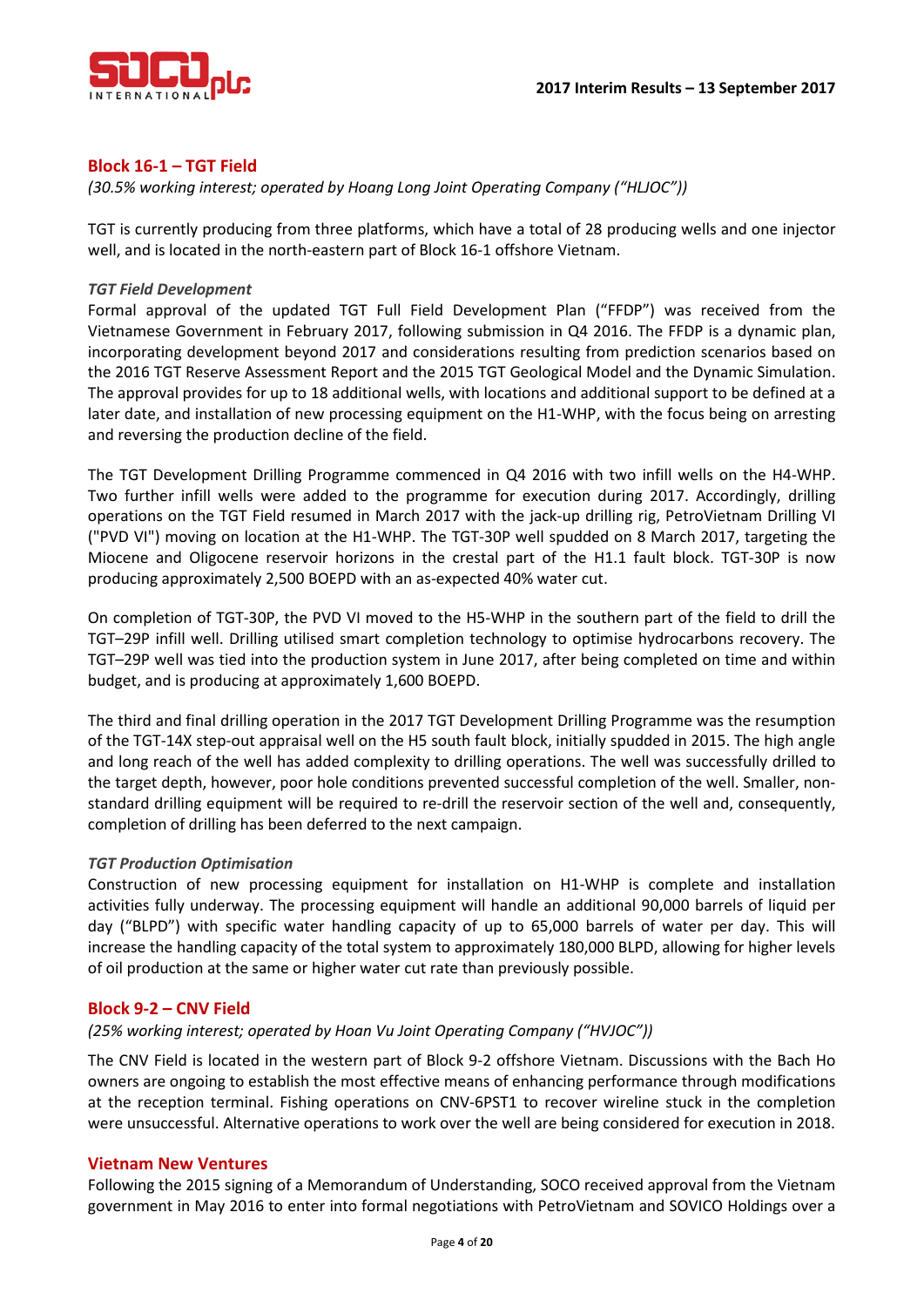

## **Block 16-1 – TGT Field**

*(30.5% working interest; operated by Hoang Long Joint Operating Company ("HLJOC"))*

TGT is currently producing from three platforms, which have a total of 28 producing wells and one injector well, and is located in the north-eastern part of Block 16-1 offshore Vietnam.

#### *TGT Field Development*

Formal approval of the updated TGT Full Field Development Plan ("FFDP") was received from the Vietnamese Government in February 2017, following submission in Q4 2016. The FFDP is a dynamic plan, incorporating development beyond 2017 and considerations resulting from prediction scenarios based on the 2016 TGT Reserve Assessment Report and the 2015 TGT Geological Model and the Dynamic Simulation. The approval provides for up to 18 additional wells, with locations and additional support to be defined at a later date, and installation of new processing equipment on the H1-WHP, with the focus being on arresting and reversing the production decline of the field.

The TGT Development Drilling Programme commenced in Q4 2016 with two infill wells on the H4-WHP. Two further infill wells were added to the programme for execution during 2017. Accordingly, drilling operations on the TGT Field resumed in March 2017 with the jack-up drilling rig, PetroVietnam Drilling VI ("PVD VI") moving on location at the H1-WHP. The TGT-30P well spudded on 8 March 2017, targeting the Miocene and Oligocene reservoir horizons in the crestal part of the H1.1 fault block. TGT-30P is now producing approximately 2,500 BOEPD with an as-expected 40% water cut.

On completion of TGT-30P, the PVD VI moved to the H5-WHP in the southern part of the field to drill the TGT–29P infill well. Drilling utilised smart completion technology to optimise hydrocarbons recovery. The TGT–29P well was tied into the production system in June 2017, after being completed on time and within budget, and is producing at approximately 1,600 BOEPD.

The third and final drilling operation in the 2017 TGT Development Drilling Programme was the resumption of the TGT-14X step-out appraisal well on the H5 south fault block, initially spudded in 2015. The high angle and long reach of the well has added complexity to drilling operations. The well was successfully drilled to the target depth, however, poor hole conditions prevented successful completion of the well. Smaller, nonstandard drilling equipment will be required to re-drill the reservoir section of the well and, consequently, completion of drilling has been deferred to the next campaign.

## *TGT Production Optimisation*

Construction of new processing equipment for installation on H1-WHP is complete and installation activities fully underway. The processing equipment will handle an additional 90,000 barrels of liquid per day ("BLPD") with specific water handling capacity of up to 65,000 barrels of water per day. This will increase the handling capacity of the total system to approximately 180,000 BLPD, allowing for higher levels of oil production at the same or higher water cut rate than previously possible.

## **Block 9-2 – CNV Field**

## *(25% working interest; operated by Hoan Vu Joint Operating Company ("HVJOC"))*

The CNV Field is located in the western part of Block 9-2 offshore Vietnam. Discussions with the Bach Ho owners are ongoing to establish the most effective means of enhancing performance through modifications at the reception terminal. Fishing operations on CNV-6PST1 to recover wireline stuck in the completion were unsuccessful. Alternative operations to work over the well are being considered for execution in 2018.

#### **Vietnam New Ventures**

Following the 2015 signing of a Memorandum of Understanding, SOCO received approval from the Vietnam government in May 2016 to enter into formal negotiations with PetroVietnam and SOVICO Holdings over a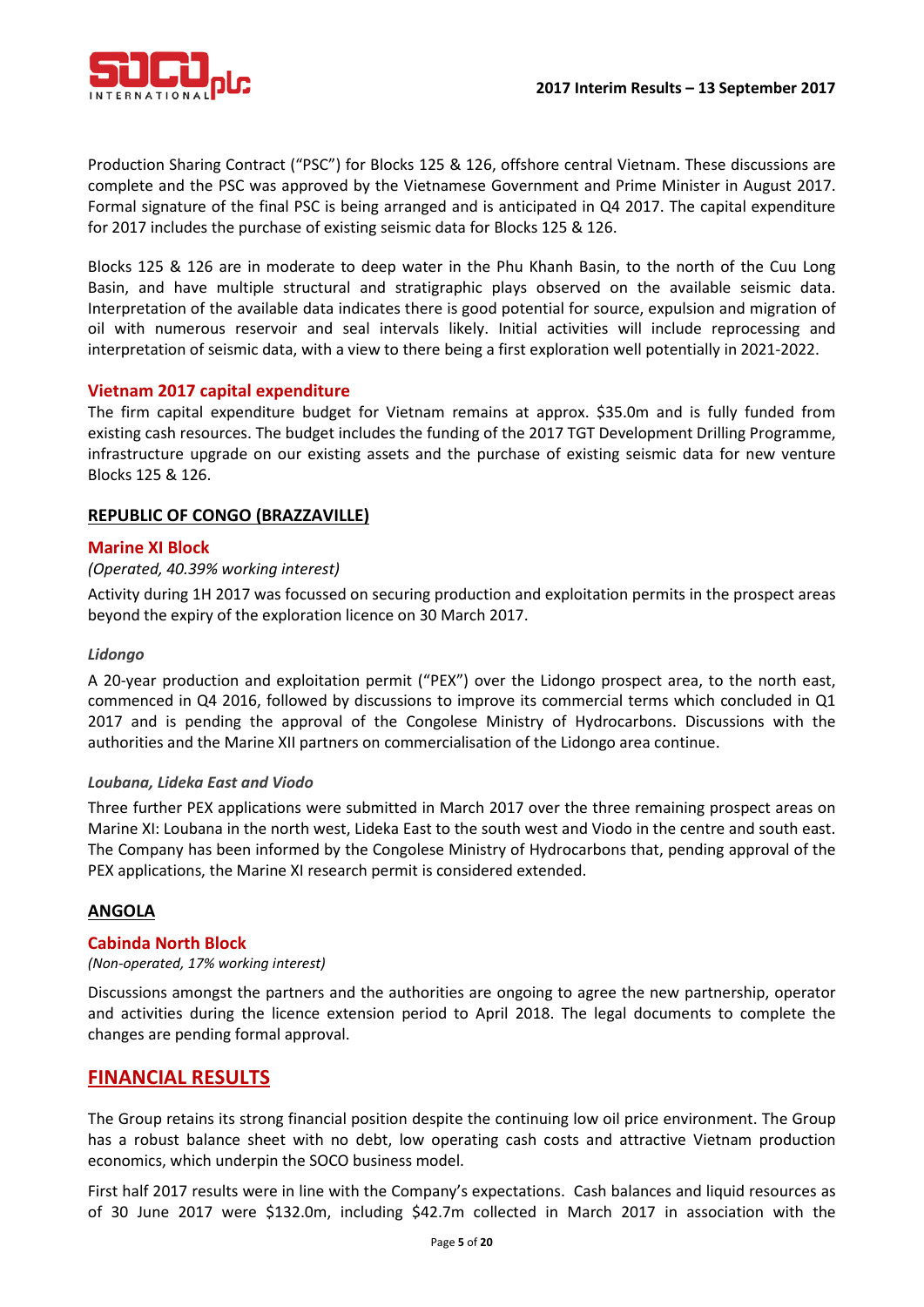

Production Sharing Contract ("PSC") for Blocks 125 & 126, offshore central Vietnam. These discussions are complete and the PSC was approved by the Vietnamese Government and Prime Minister in August 2017. Formal signature of the final PSC is being arranged and is anticipated in Q4 2017. The capital expenditure for 2017 includes the purchase of existing seismic data for Blocks 125 & 126.

Blocks 125 & 126 are in moderate to deep water in the Phu Khanh Basin, to the north of the Cuu Long Basin, and have multiple structural and stratigraphic plays observed on the available seismic data. Interpretation of the available data indicates there is good potential for source, expulsion and migration of oil with numerous reservoir and seal intervals likely. Initial activities will include reprocessing and interpretation of seismic data, with a view to there being a first exploration well potentially in 2021-2022.

## **Vietnam 2017 capital expenditure**

The firm capital expenditure budget for Vietnam remains at approx. \$35.0m and is fully funded from existing cash resources. The budget includes the funding of the 2017 TGT Development Drilling Programme, infrastructure upgrade on our existing assets and the purchase of existing seismic data for new venture Blocks 125 & 126.

## **REPUBLIC OF CONGO (BRAZZAVILLE)**

## **Marine XI Block**

## *(Operated, 40.39% working interest)*

Activity during 1H 2017 was focussed on securing production and exploitation permits in the prospect areas beyond the expiry of the exploration licence on 30 March 2017.

## *Lidongo*

A 20-year production and exploitation permit ("PEX") over the Lidongo prospect area, to the north east, commenced in Q4 2016, followed by discussions to improve its commercial terms which concluded in Q1 2017 and is pending the approval of the Congolese Ministry of Hydrocarbons. Discussions with the authorities and the Marine XII partners on commercialisation of the Lidongo area continue.

## *Loubana, Lideka East and Viodo*

Three further PEX applications were submitted in March 2017 over the three remaining prospect areas on Marine XI: Loubana in the north west, Lideka East to the south west and Viodo in the centre and south east. The Company has been informed by the Congolese Ministry of Hydrocarbons that, pending approval of the PEX applications, the Marine XI research permit is considered extended.

## **ANGOLA**

## **Cabinda North Block**

*(Non-operated, 17% working interest)*

Discussions amongst the partners and the authorities are ongoing to agree the new partnership, operator and activities during the licence extension period to April 2018. The legal documents to complete the changes are pending formal approval.

## **FINANCIAL RESULTS**

The Group retains its strong financial position despite the continuing low oil price environment. The Group has a robust balance sheet with no debt, low operating cash costs and attractive Vietnam production economics, which underpin the SOCO business model.

First half 2017 results were in line with the Company's expectations. Cash balances and liquid resources as of 30 June 2017 were \$132.0m, including \$42.7m collected in March 2017 in association with the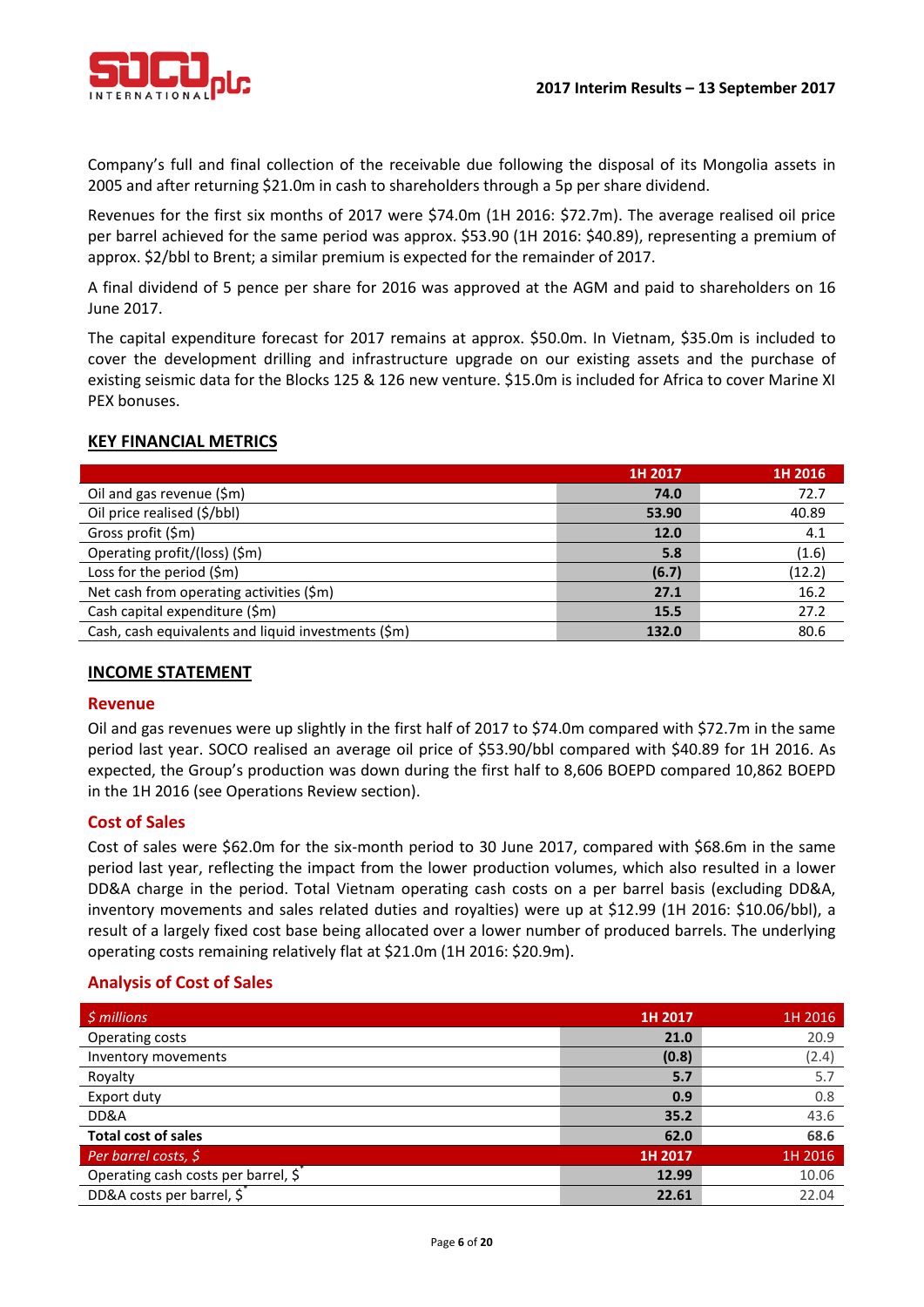

Company's full and final collection of the receivable due following the disposal of its Mongolia assets in 2005 and after returning \$21.0m in cash to shareholders through a 5p per share dividend.

Revenues for the first six months of 2017 were \$74.0m (1H 2016: \$72.7m). The average realised oil price per barrel achieved for the same period was approx. \$53.90 (1H 2016: \$40.89), representing a premium of approx. \$2/bbl to Brent; a similar premium is expected for the remainder of 2017.

A final dividend of 5 pence per share for 2016 was approved at the AGM and paid to shareholders on 16 June 2017.

The capital expenditure forecast for 2017 remains at approx. \$50.0m. In Vietnam, \$35.0m is included to cover the development drilling and infrastructure upgrade on our existing assets and the purchase of existing seismic data for the Blocks 125 & 126 new venture. \$15.0m is included for Africa to cover Marine XI PEX bonuses.

## **KEY FINANCIAL METRICS**

|                                                     | 1H 2017 | 1H 2016 |
|-----------------------------------------------------|---------|---------|
| Oil and gas revenue (\$m)                           | 74.0    | 72.7    |
| Oil price realised (\$/bbl)                         | 53.90   | 40.89   |
| Gross profit (\$m)                                  | 12.0    | 4.1     |
| Operating profit/(loss) (\$m)                       | 5.8     | (1.6)   |
| Loss for the period (\$m)                           | (6.7)   | (12.2)  |
| Net cash from operating activities (\$m)            | 27.1    | 16.2    |
| Cash capital expenditure (\$m)                      | 15.5    | 27.2    |
| Cash, cash equivalents and liquid investments (\$m) | 132.0   | 80.6    |

## **INCOME STATEMENT**

## **Revenue**

Oil and gas revenues were up slightly in the first half of 2017 to \$74.0m compared with \$72.7m in the same period last year. SOCO realised an average oil price of \$53.90/bbl compared with \$40.89 for 1H 2016. As expected, the Group's production was down during the first half to 8,606 BOEPD compared 10,862 BOEPD in the 1H 2016 (see Operations Review section).

## **Cost of Sales**

Cost of sales were \$62.0m for the six-month period to 30 June 2017, compared with \$68.6m in the same period last year, reflecting the impact from the lower production volumes, which also resulted in a lower DD&A charge in the period. Total Vietnam operating cash costs on a per barrel basis (excluding DD&A, inventory movements and sales related duties and royalties) were up at \$12.99 (1H 2016: \$10.06/bbl), a result of a largely fixed cost base being allocated over a lower number of produced barrels. The underlying operating costs remaining relatively flat at \$21.0m (1H 2016: \$20.9m).

## **Analysis of Cost of Sales**

| $$$ millions                        | 1H 2017 | 1H 2016 |
|-------------------------------------|---------|---------|
| Operating costs                     | 21.0    | 20.9    |
| Inventory movements                 | (0.8)   | (2.4)   |
| Royalty                             | 5.7     | 5.7     |
| Export duty                         | 0.9     | 0.8     |
| DD&A                                | 35.2    | 43.6    |
| <b>Total cost of sales</b>          | 62.0    | 68.6    |
| Per barrel costs, $\zeta$           | 1H 2017 | 1H 2016 |
| Operating cash costs per barrel, \$ | 12.99   | 10.06   |
| DD&A costs per barrel, \$           | 22.61   | 22.04   |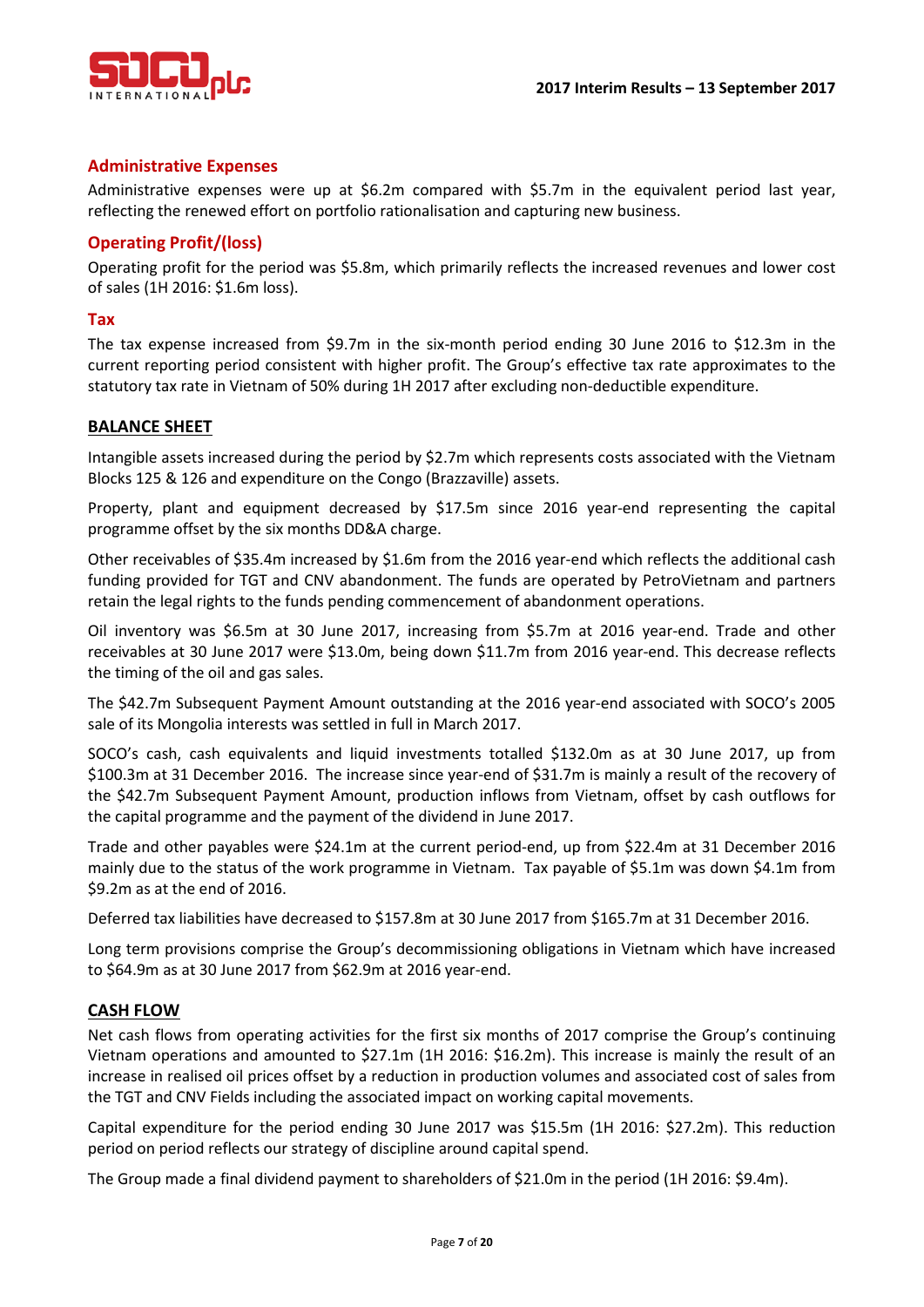

## **Administrative Expenses**

Administrative expenses were up at \$6.2m compared with \$5.7m in the equivalent period last year, reflecting the renewed effort on portfolio rationalisation and capturing new business.

## **Operating Profit/(loss)**

Operating profit for the period was \$5.8m, which primarily reflects the increased revenues and lower cost of sales (1H 2016: \$1.6m loss).

## **Tax**

The tax expense increased from \$9.7m in the six-month period ending 30 June 2016 to \$12.3m in the current reporting period consistent with higher profit. The Group's effective tax rate approximates to the statutory tax rate in Vietnam of 50% during 1H 2017 after excluding non-deductible expenditure.

## **BALANCE SHEET**

Intangible assets increased during the period by \$2.7m which represents costs associated with the Vietnam Blocks 125 & 126 and expenditure on the Congo (Brazzaville) assets.

Property, plant and equipment decreased by \$17.5m since 2016 year-end representing the capital programme offset by the six months DD&A charge.

Other receivables of \$35.4m increased by \$1.6m from the 2016 year-end which reflects the additional cash funding provided for TGT and CNV abandonment. The funds are operated by PetroVietnam and partners retain the legal rights to the funds pending commencement of abandonment operations.

Oil inventory was \$6.5m at 30 June 2017, increasing from \$5.7m at 2016 year-end. Trade and other receivables at 30 June 2017 were \$13.0m, being down \$11.7m from 2016 year-end. This decrease reflects the timing of the oil and gas sales.

The \$42.7m Subsequent Payment Amount outstanding at the 2016 year-end associated with SOCO's 2005 sale of its Mongolia interests was settled in full in March 2017.

SOCO's cash, cash equivalents and liquid investments totalled \$132.0m as at 30 June 2017, up from \$100.3m at 31 December 2016. The increase since year-end of \$31.7m is mainly a result of the recovery of the \$42.7m Subsequent Payment Amount, production inflows from Vietnam, offset by cash outflows for the capital programme and the payment of the dividend in June 2017.

Trade and other payables were \$24.1m at the current period-end, up from \$22.4m at 31 December 2016 mainly due to the status of the work programme in Vietnam. Tax payable of \$5.1m was down \$4.1m from \$9.2m as at the end of 2016.

Deferred tax liabilities have decreased to \$157.8m at 30 June 2017 from \$165.7m at 31 December 2016.

Long term provisions comprise the Group's decommissioning obligations in Vietnam which have increased to \$64.9m as at 30 June 2017 from \$62.9m at 2016 year-end.

## **CASH FLOW**

Net cash flows from operating activities for the first six months of 2017 comprise the Group's continuing Vietnam operations and amounted to \$27.1m (1H 2016: \$16.2m). This increase is mainly the result of an increase in realised oil prices offset by a reduction in production volumes and associated cost of sales from the TGT and CNV Fields including the associated impact on working capital movements.

Capital expenditure for the period ending 30 June 2017 was \$15.5m (1H 2016: \$27.2m). This reduction period on period reflects our strategy of discipline around capital spend.

The Group made a final dividend payment to shareholders of \$21.0m in the period (1H 2016: \$9.4m).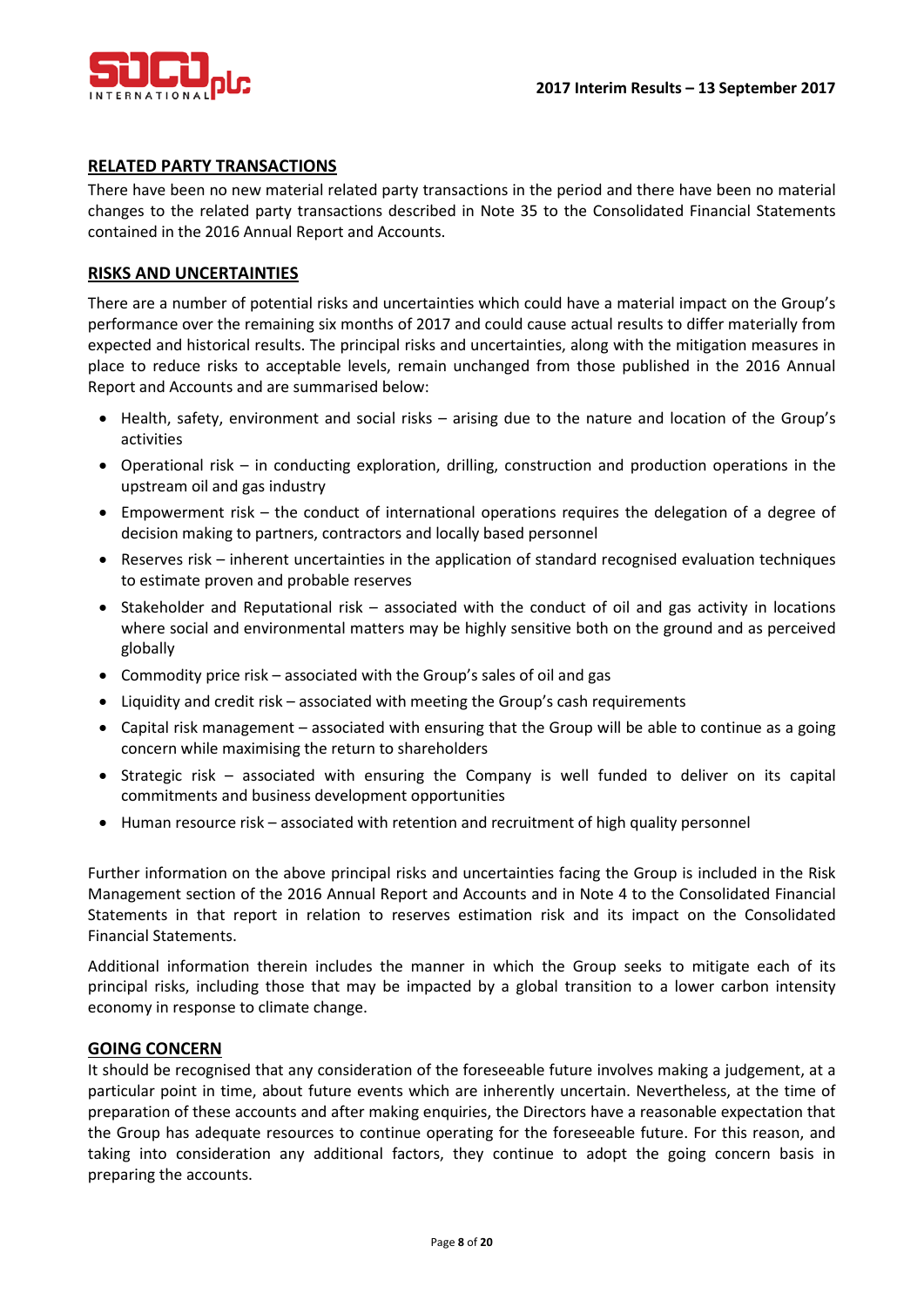

## **RELATED PARTY TRANSACTIONS**

There have been no new material related party transactions in the period and there have been no material changes to the related party transactions described in Note 35 to the Consolidated Financial Statements contained in the 2016 Annual Report and Accounts.

## **RISKS AND UNCERTAINTIES**

There are a number of potential risks and uncertainties which could have a material impact on the Group's performance over the remaining six months of 2017 and could cause actual results to differ materially from expected and historical results. The principal risks and uncertainties, along with the mitigation measures in place to reduce risks to acceptable levels, remain unchanged from those published in the 2016 Annual Report and Accounts and are summarised below:

- Health, safety, environment and social risks arising due to the nature and location of the Group's activities
- Operational risk in conducting exploration, drilling, construction and production operations in the upstream oil and gas industry
- Empowerment risk the conduct of international operations requires the delegation of a degree of decision making to partners, contractors and locally based personnel
- Reserves risk inherent uncertainties in the application of standard recognised evaluation techniques to estimate proven and probable reserves
- Stakeholder and Reputational risk associated with the conduct of oil and gas activity in locations where social and environmental matters may be highly sensitive both on the ground and as perceived globally
- Commodity price risk associated with the Group's sales of oil and gas
- Liquidity and credit risk associated with meeting the Group's cash requirements
- Capital risk management associated with ensuring that the Group will be able to continue as a going concern while maximising the return to shareholders
- Strategic risk associated with ensuring the Company is well funded to deliver on its capital commitments and business development opportunities
- Human resource risk associated with retention and recruitment of high quality personnel

Further information on the above principal risks and uncertainties facing the Group is included in the Risk Management section of the 2016 Annual Report and Accounts and in Note 4 to the Consolidated Financial Statements in that report in relation to reserves estimation risk and its impact on the Consolidated Financial Statements.

Additional information therein includes the manner in which the Group seeks to mitigate each of its principal risks, including those that may be impacted by a global transition to a lower carbon intensity economy in response to climate change.

## **GOING CONCERN**

It should be recognised that any consideration of the foreseeable future involves making a judgement, at a particular point in time, about future events which are inherently uncertain. Nevertheless, at the time of preparation of these accounts and after making enquiries, the Directors have a reasonable expectation that the Group has adequate resources to continue operating for the foreseeable future. For this reason, and taking into consideration any additional factors, they continue to adopt the going concern basis in preparing the accounts.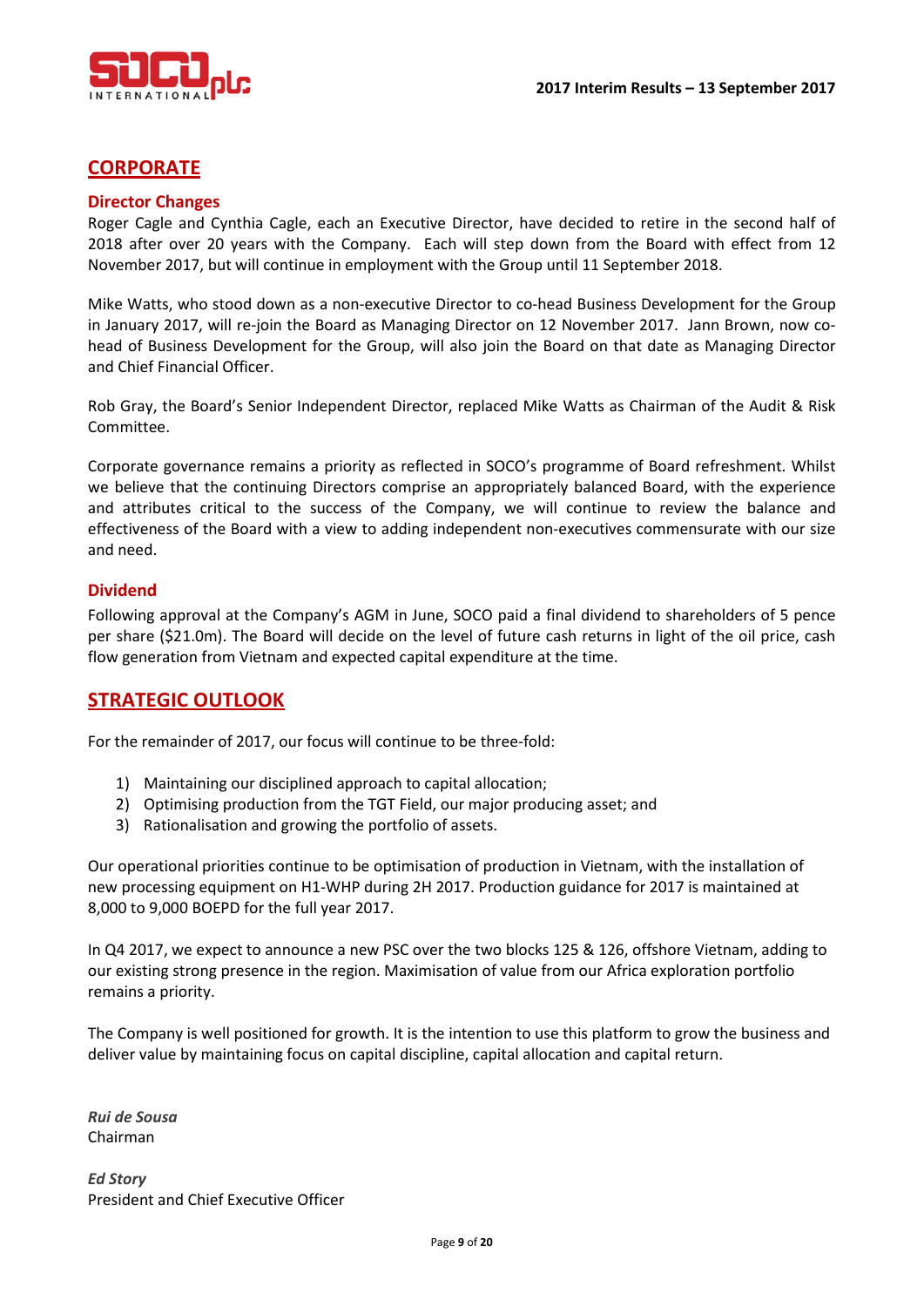# **CORPORATE**

## **Director Changes**

Roger Cagle and Cynthia Cagle, each an Executive Director, have decided to retire in the second half of 2018 after over 20 years with the Company. Each will step down from the Board with effect from 12 November 2017, but will continue in employment with the Group until 11 September 2018.

Mike Watts, who stood down as a non-executive Director to co-head Business Development for the Group in January 2017, will re-join the Board as Managing Director on 12 November 2017. Jann Brown, now cohead of Business Development for the Group, will also join the Board on that date as Managing Director and Chief Financial Officer.

Rob Gray, the Board's Senior Independent Director, replaced Mike Watts as Chairman of the Audit & Risk Committee.

Corporate governance remains a priority as reflected in SOCO's programme of Board refreshment. Whilst we believe that the continuing Directors comprise an appropriately balanced Board, with the experience and attributes critical to the success of the Company, we will continue to review the balance and effectiveness of the Board with a view to adding independent non-executives commensurate with our size and need.

## **Dividend**

Following approval at the Company's AGM in June, SOCO paid a final dividend to shareholders of 5 pence per share (\$21.0m). The Board will decide on the level of future cash returns in light of the oil price, cash flow generation from Vietnam and expected capital expenditure at the time.

## **STRATEGIC OUTLOOK**

For the remainder of 2017, our focus will continue to be three-fold:

- 1) Maintaining our disciplined approach to capital allocation;
- 2) Optimising production from the TGT Field, our major producing asset; and
- 3) Rationalisation and growing the portfolio of assets.

Our operational priorities continue to be optimisation of production in Vietnam, with the installation of new processing equipment on H1-WHP during 2H 2017. Production guidance for 2017 is maintained at 8,000 to 9,000 BOEPD for the full year 2017.

In Q4 2017, we expect to announce a new PSC over the two blocks 125 & 126, offshore Vietnam, adding to our existing strong presence in the region. Maximisation of value from our Africa exploration portfolio remains a priority.

The Company is well positioned for growth. It is the intention to use this platform to grow the business and deliver value by maintaining focus on capital discipline, capital allocation and capital return.

*Rui de Sousa* Chairman

*Ed Story* President and Chief Executive Officer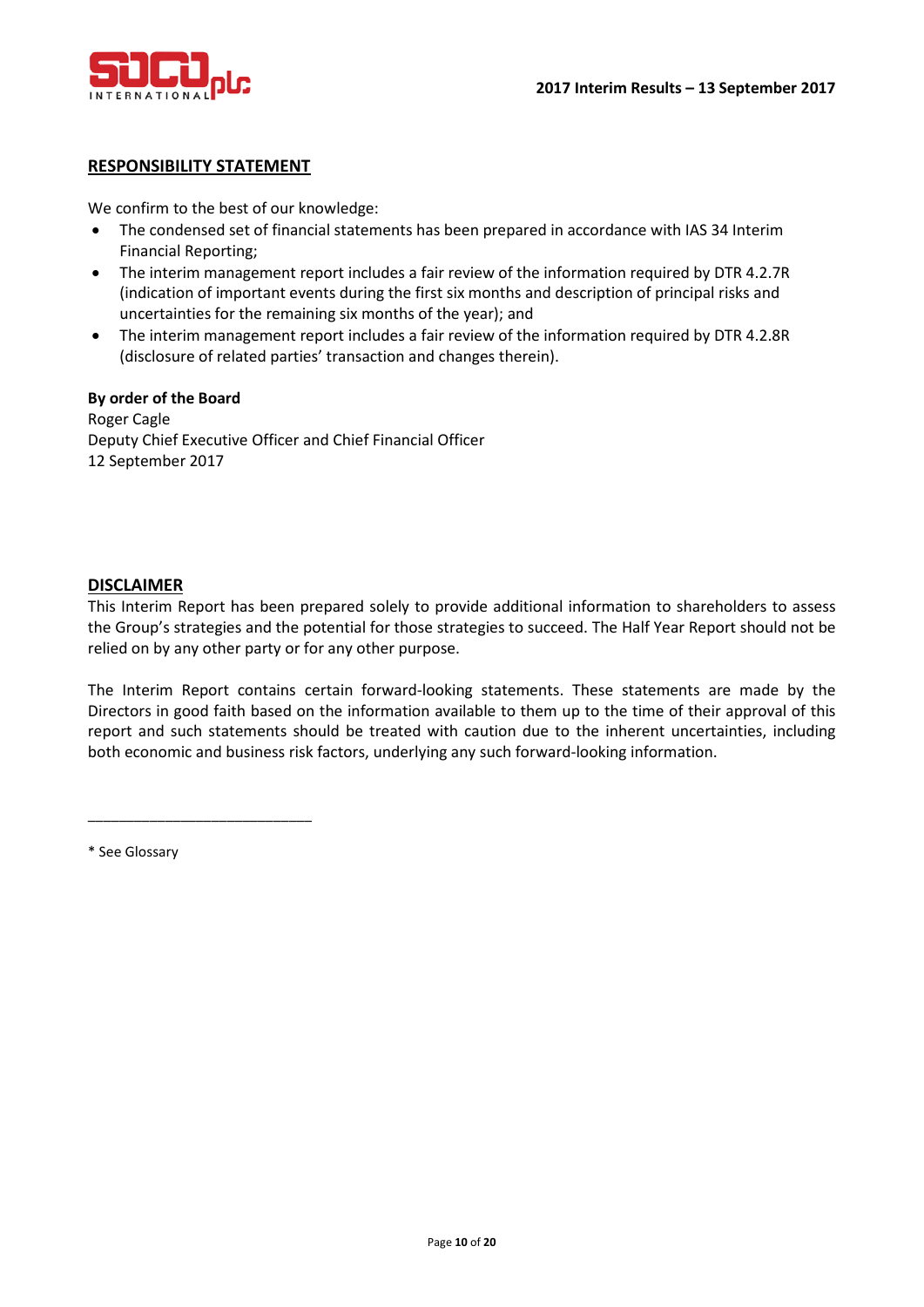

## **RESPONSIBILITY STATEMENT**

We confirm to the best of our knowledge:

- The condensed set of financial statements has been prepared in accordance with IAS 34 Interim Financial Reporting;
- The interim management report includes a fair review of the information required by DTR 4.2.7R (indication of important events during the first six months and description of principal risks and uncertainties for the remaining six months of the year); and
- The interim management report includes a fair review of the information required by DTR 4.2.8R (disclosure of related parties' transaction and changes therein).

## **By order of the Board**

Roger Cagle Deputy Chief Executive Officer and Chief Financial Officer 12 September 2017

## **DISCLAIMER**

This Interim Report has been prepared solely to provide additional information to shareholders to assess the Group's strategies and the potential for those strategies to succeed. The Half Year Report should not be relied on by any other party or for any other purpose.

The Interim Report contains certain forward-looking statements. These statements are made by the Directors in good faith based on the information available to them up to the time of their approval of this report and such statements should be treated with caution due to the inherent uncertainties, including both economic and business risk factors, underlying any such forward-looking information.

\* See Glossary

\_\_\_\_\_\_\_\_\_\_\_\_\_\_\_\_\_\_\_\_\_\_\_\_\_\_\_\_\_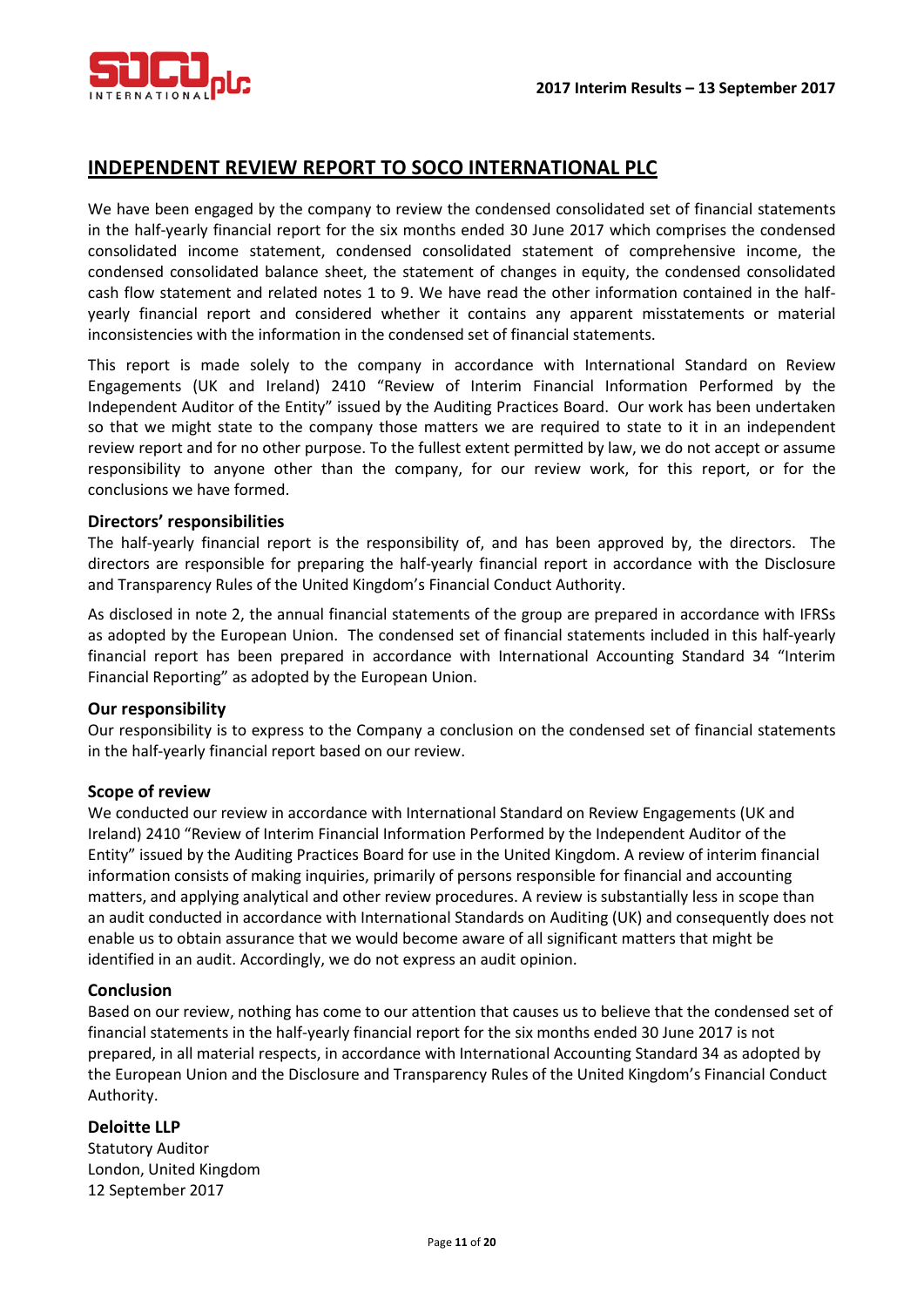

# **INDEPENDENT REVIEW REPORT TO SOCO INTERNATIONAL PLC**

We have been engaged by the company to review the condensed consolidated set of financial statements in the half-yearly financial report for the six months ended 30 June 2017 which comprises the condensed consolidated income statement, condensed consolidated statement of comprehensive income, the condensed consolidated balance sheet, the statement of changes in equity, the condensed consolidated cash flow statement and related notes 1 to 9. We have read the other information contained in the halfyearly financial report and considered whether it contains any apparent misstatements or material inconsistencies with the information in the condensed set of financial statements.

This report is made solely to the company in accordance with International Standard on Review Engagements (UK and Ireland) 2410 "Review of Interim Financial Information Performed by the Independent Auditor of the Entity" issued by the Auditing Practices Board. Our work has been undertaken so that we might state to the company those matters we are required to state to it in an independent review report and for no other purpose. To the fullest extent permitted by law, we do not accept or assume responsibility to anyone other than the company, for our review work, for this report, or for the conclusions we have formed.

## **Directors' responsibilities**

The half-yearly financial report is the responsibility of, and has been approved by, the directors. The directors are responsible for preparing the half-yearly financial report in accordance with the Disclosure and Transparency Rules of the United Kingdom's Financial Conduct Authority.

As disclosed in note 2, the annual financial statements of the group are prepared in accordance with IFRSs as adopted by the European Union. The condensed set of financial statements included in this half-yearly financial report has been prepared in accordance with International Accounting Standard 34 "Interim Financial Reporting" as adopted by the European Union.

## **Our responsibility**

Our responsibility is to express to the Company a conclusion on the condensed set of financial statements in the half-yearly financial report based on our review.

## **Scope of review**

We conducted our review in accordance with International Standard on Review Engagements (UK and Ireland) 2410 "Review of Interim Financial Information Performed by the Independent Auditor of the Entity" issued by the Auditing Practices Board for use in the United Kingdom. A review of interim financial information consists of making inquiries, primarily of persons responsible for financial and accounting matters, and applying analytical and other review procedures. A review is substantially less in scope than an audit conducted in accordance with International Standards on Auditing (UK) and consequently does not enable us to obtain assurance that we would become aware of all significant matters that might be identified in an audit. Accordingly, we do not express an audit opinion.

## **Conclusion**

Based on our review, nothing has come to our attention that causes us to believe that the condensed set of financial statements in the half-yearly financial report for the six months ended 30 June 2017 is not prepared, in all material respects, in accordance with International Accounting Standard 34 as adopted by the European Union and the Disclosure and Transparency Rules of the United Kingdom's Financial Conduct Authority.

## **Deloitte LLP**

Statutory Auditor London, United Kingdom 12 September 2017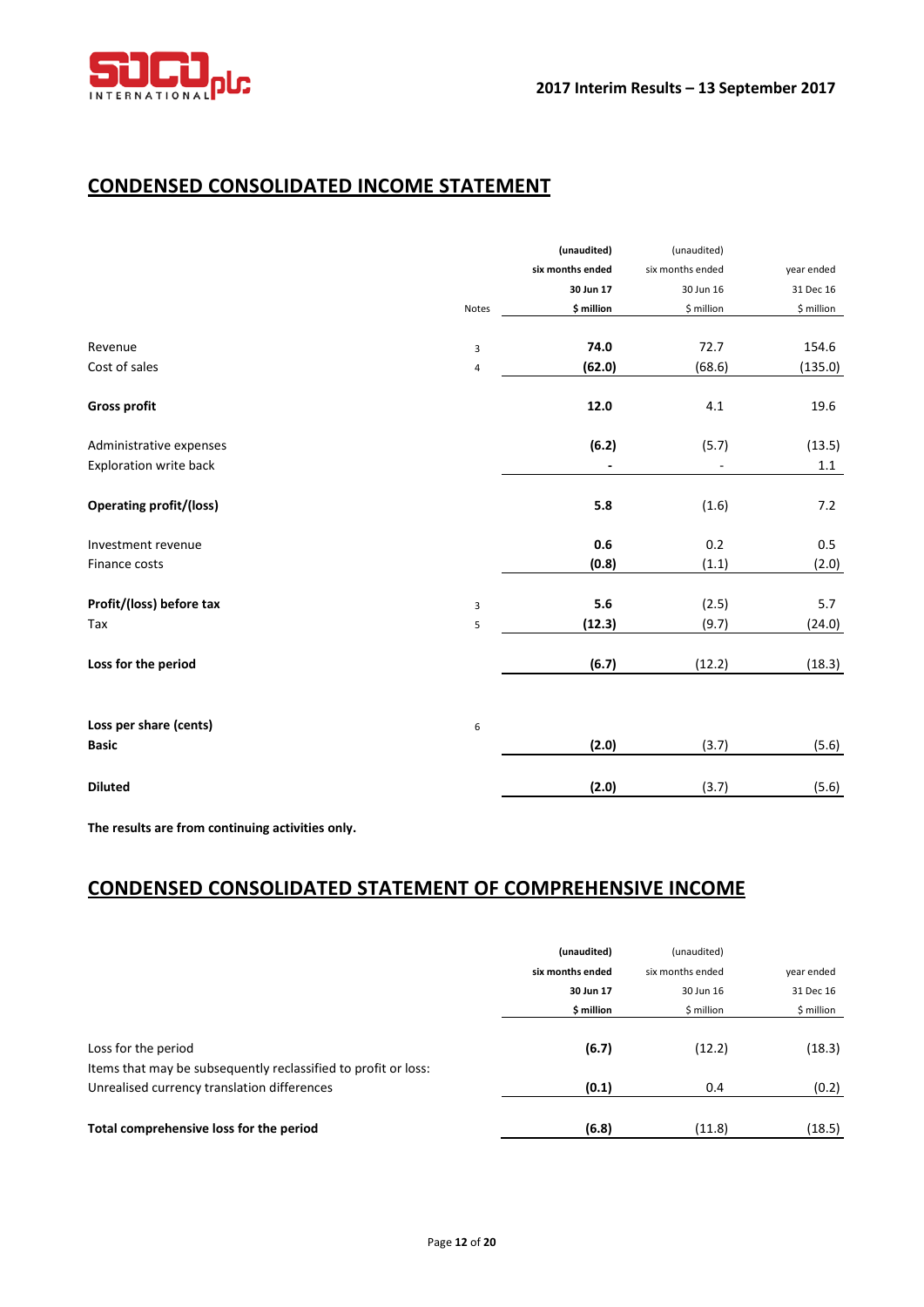

# **CONDENSED CONSOLIDATED INCOME STATEMENT**

|                                |              | (unaudited)      | (unaudited)      |            |
|--------------------------------|--------------|------------------|------------------|------------|
|                                |              | six months ended | six months ended | year ended |
|                                |              | 30 Jun 17        | 30 Jun 16        | 31 Dec 16  |
|                                | <b>Notes</b> | \$ million       | \$ million       | \$ million |
| Revenue                        |              | 74.0             | 72.7             | 154.6      |
| Cost of sales                  | 3            | (62.0)           | (68.6)           | (135.0)    |
|                                | $\sqrt{4}$   |                  |                  |            |
| <b>Gross profit</b>            |              | 12.0             | 4.1              | 19.6       |
| Administrative expenses        |              | (6.2)            | (5.7)            | (13.5)     |
| Exploration write back         |              |                  |                  | $1.1\,$    |
| <b>Operating profit/(loss)</b> |              | 5.8              | (1.6)            | 7.2        |
| Investment revenue             |              | 0.6              | 0.2              | $0.5\,$    |
| Finance costs                  |              | (0.8)            | (1.1)            | (2.0)      |
| Profit/(loss) before tax       | $\mathsf 3$  | 5.6              | (2.5)            | 5.7        |
| Tax                            | 5            | (12.3)           | (9.7)            | (24.0)     |
| Loss for the period            |              | (6.7)            | (12.2)           | (18.3)     |
|                                |              |                  |                  |            |
| Loss per share (cents)         | 6            |                  |                  |            |
| <b>Basic</b>                   |              | (2.0)            | (3.7)            | (5.6)      |
| <b>Diluted</b>                 |              | (2.0)            | (3.7)            | (5.6)      |

**The results are from continuing activities only.**

# **CONDENSED CONSOLIDATED STATEMENT OF COMPREHENSIVE INCOME**

|                                                                                       | (unaudited)      | (unaudited)      |            |
|---------------------------------------------------------------------------------------|------------------|------------------|------------|
|                                                                                       | six months ended | six months ended | year ended |
|                                                                                       | 30 Jun 17        | 30 Jun 16        | 31 Dec 16  |
|                                                                                       | \$ million       | \$ million       | \$ million |
| Loss for the period<br>Items that may be subsequently reclassified to profit or loss: | (6.7)            | (12.2)           | (18.3)     |
| Unrealised currency translation differences                                           | (0.1)            | 0.4              | (0.2)      |
| Total comprehensive loss for the period                                               | (6.8)            | (11.8)           | (18.5)     |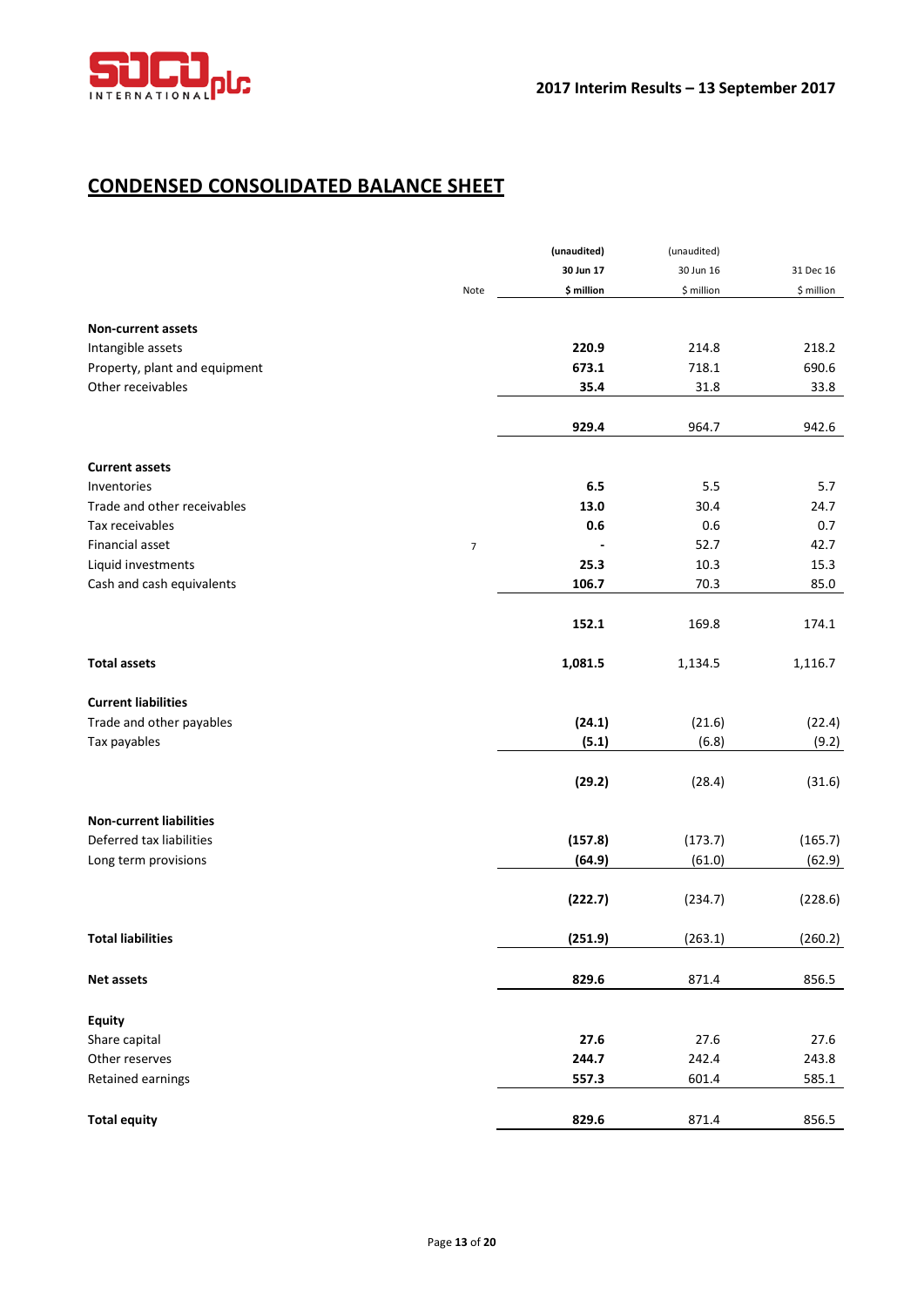

# **CONDENSED CONSOLIDATED BALANCE SHEET**

|                                |                          | (unaudited) | (unaudited) |             |
|--------------------------------|--------------------------|-------------|-------------|-------------|
|                                |                          | 30 Jun 17   | 30 Jun 16   | 31 Dec 16   |
|                                | Note                     | \$ million  | \$ million  | $$$ million |
| <b>Non-current assets</b>      |                          |             |             |             |
| Intangible assets              |                          | 220.9       | 214.8       | 218.2       |
|                                |                          |             |             |             |
| Property, plant and equipment  |                          | 673.1       | 718.1       | 690.6       |
| Other receivables              |                          | 35.4        | 31.8        | 33.8        |
|                                |                          | 929.4       | 964.7       | 942.6       |
| <b>Current assets</b>          |                          |             |             |             |
| Inventories                    |                          | 6.5         | 5.5         | 5.7         |
| Trade and other receivables    |                          | 13.0        | 30.4        | 24.7        |
| Tax receivables                |                          | 0.6         | 0.6         | 0.7         |
| Financial asset                | $\overline{\phantom{a}}$ |             | 52.7        | 42.7        |
| Liquid investments             |                          | 25.3        | 10.3        | 15.3        |
| Cash and cash equivalents      |                          | 106.7       | 70.3        | 85.0        |
|                                |                          |             |             |             |
|                                |                          | 152.1       | 169.8       | 174.1       |
| <b>Total assets</b>            |                          | 1,081.5     | 1,134.5     | 1,116.7     |
| <b>Current liabilities</b>     |                          |             |             |             |
| Trade and other payables       |                          | (24.1)      | (21.6)      | (22.4)      |
| Tax payables                   |                          | (5.1)       | (6.8)       | (9.2)       |
|                                |                          |             |             |             |
|                                |                          | (29.2)      | (28.4)      | (31.6)      |
| <b>Non-current liabilities</b> |                          |             |             |             |
| Deferred tax liabilities       |                          | (157.8)     | (173.7)     | (165.7)     |
| Long term provisions           |                          | (64.9)      | (61.0)      | (62.9)      |
|                                |                          |             |             |             |
|                                |                          | (222.7)     | (234.7)     | (228.6)     |
| <b>Total liabilities</b>       |                          | (251.9)     | (263.1)     | (260.2)     |
| <b>Net assets</b>              |                          | 829.6       | 871.4       | 856.5       |
|                                |                          |             |             |             |
| <b>Equity</b>                  |                          |             |             |             |
| Share capital                  |                          | 27.6        | 27.6        | 27.6        |
| Other reserves                 |                          | 244.7       | 242.4       | 243.8       |
| Retained earnings              |                          | 557.3       | 601.4       | 585.1       |
| <b>Total equity</b>            |                          | 829.6       | 871.4       | 856.5       |
|                                |                          |             |             |             |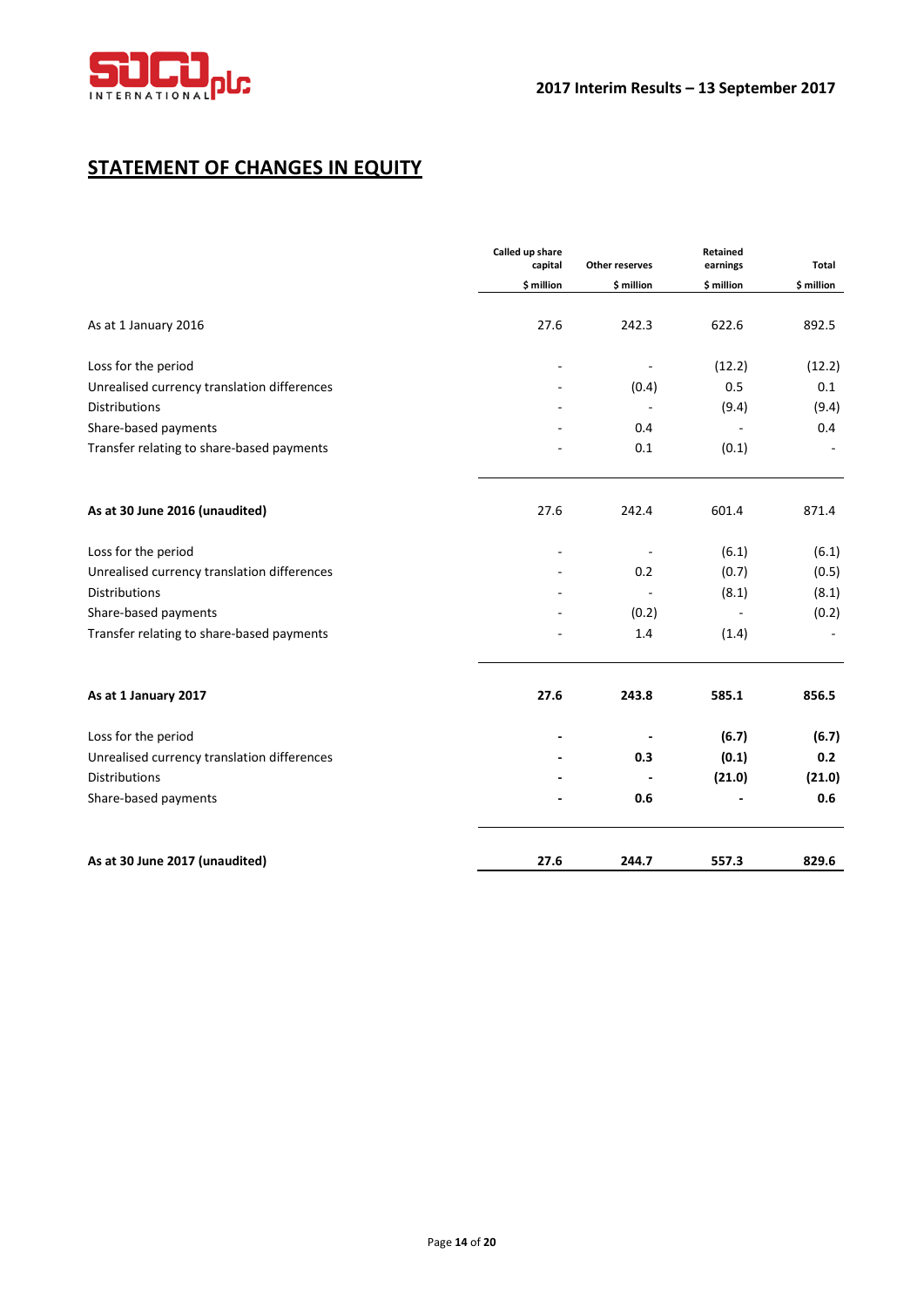

# **STATEMENT OF CHANGES IN EQUITY**

|                                             | Called up share<br>capital | Other reserves | Retained<br>earnings | Total      |
|---------------------------------------------|----------------------------|----------------|----------------------|------------|
|                                             | \$ million                 | \$ million     | \$ million           | \$ million |
| As at 1 January 2016                        | 27.6                       | 242.3          | 622.6                | 892.5      |
| Loss for the period                         | $\sim$                     | ÷,             | (12.2)               | (12.2)     |
| Unrealised currency translation differences |                            | (0.4)          | 0.5                  | 0.1        |
| <b>Distributions</b>                        |                            |                | (9.4)                | (9.4)      |
| Share-based payments                        |                            | 0.4            |                      | 0.4        |
| Transfer relating to share-based payments   |                            | 0.1            | (0.1)                |            |
| As at 30 June 2016 (unaudited)              | 27.6                       | 242.4          | 601.4                | 871.4      |
| Loss for the period                         |                            |                | (6.1)                | (6.1)      |
| Unrealised currency translation differences |                            | 0.2            | (0.7)                | (0.5)      |
| <b>Distributions</b>                        |                            |                | (8.1)                | (8.1)      |
| Share-based payments                        |                            | (0.2)          |                      | (0.2)      |
| Transfer relating to share-based payments   |                            | 1.4            | (1.4)                |            |
| As at 1 January 2017                        | 27.6                       | 243.8          | 585.1                | 856.5      |
| Loss for the period                         |                            |                | (6.7)                | (6.7)      |
| Unrealised currency translation differences |                            | 0.3            | (0.1)                | 0.2        |
| <b>Distributions</b>                        |                            |                | (21.0)               | (21.0)     |
| Share-based payments                        |                            | 0.6            |                      | 0.6        |
| As at 30 June 2017 (unaudited)              | 27.6                       | 244.7          | 557.3                | 829.6      |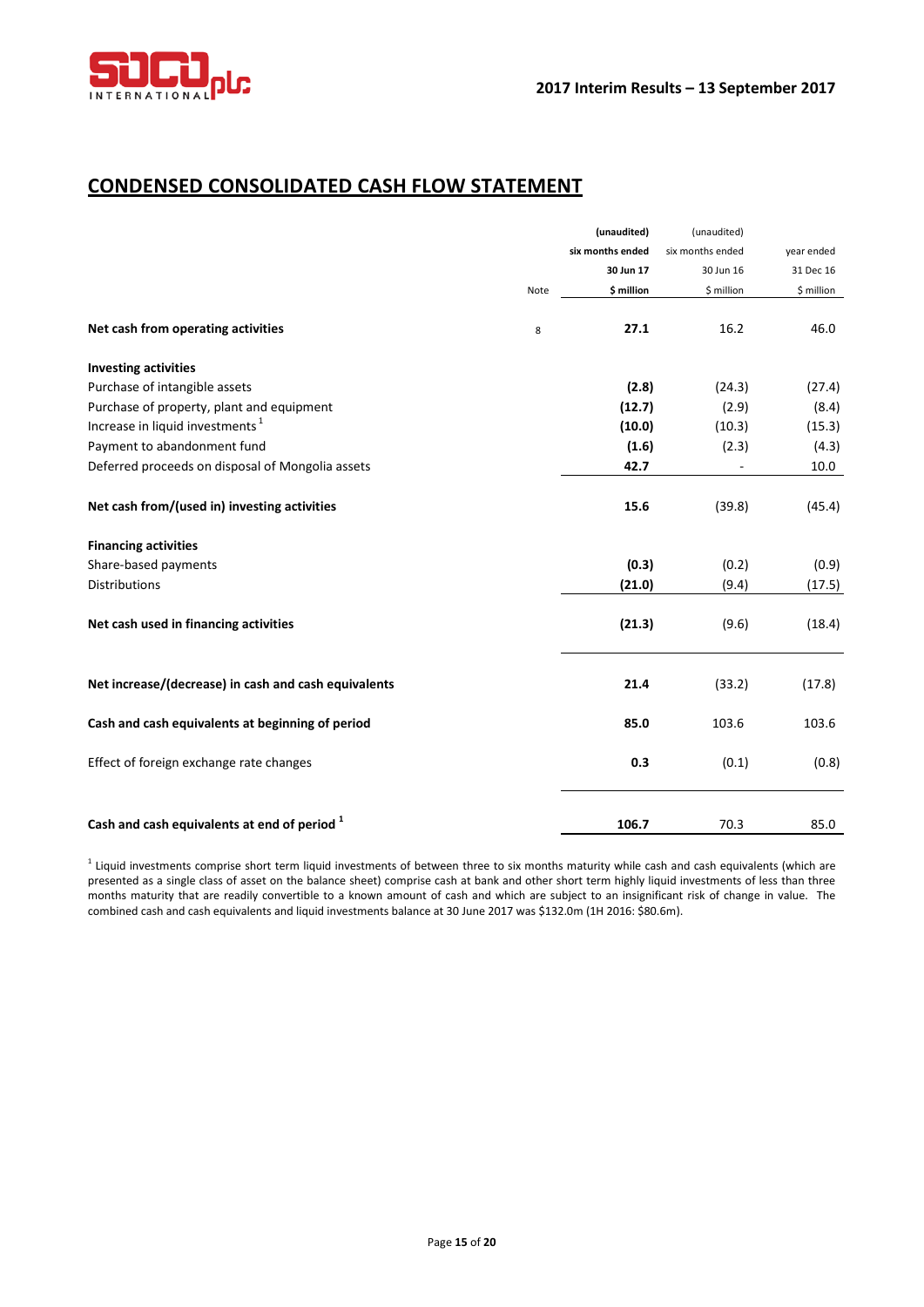

# **CONDENSED CONSOLIDATED CASH FLOW STATEMENT**

|                                                         | (unaudited)      | (unaudited)      |            |
|---------------------------------------------------------|------------------|------------------|------------|
|                                                         | six months ended | six months ended | year ended |
|                                                         | 30 Jun 17        | 30 Jun 16        | 31 Dec 16  |
| Note                                                    | \$ million       | \$ million       | \$ million |
| Net cash from operating activities<br>8                 | 27.1             | 16.2             | 46.0       |
|                                                         |                  |                  |            |
| <b>Investing activities</b>                             |                  |                  |            |
| Purchase of intangible assets                           | (2.8)            | (24.3)           | (27.4)     |
| Purchase of property, plant and equipment               | (12.7)           | (2.9)            | (8.4)      |
| Increase in liquid investments <sup>1</sup>             | (10.0)           | (10.3)           | (15.3)     |
| Payment to abandonment fund                             | (1.6)            | (2.3)            | (4.3)      |
| Deferred proceeds on disposal of Mongolia assets        | 42.7             |                  | 10.0       |
| Net cash from/(used in) investing activities            | 15.6             | (39.8)           | (45.4)     |
|                                                         |                  |                  |            |
| <b>Financing activities</b>                             |                  |                  |            |
| Share-based payments                                    | (0.3)            | (0.2)            | (0.9)      |
| <b>Distributions</b>                                    | (21.0)           | (9.4)            | (17.5)     |
|                                                         |                  |                  |            |
| Net cash used in financing activities                   | (21.3)           | (9.6)            | (18.4)     |
|                                                         |                  |                  |            |
| Net increase/(decrease) in cash and cash equivalents    | 21.4             | (33.2)           | (17.8)     |
| Cash and cash equivalents at beginning of period        | 85.0             | 103.6            | 103.6      |
|                                                         |                  |                  |            |
| Effect of foreign exchange rate changes                 | 0.3              | (0.1)            | (0.8)      |
|                                                         |                  |                  |            |
| Cash and cash equivalents at end of period <sup>1</sup> | 106.7            | 70.3             | 85.0       |

 $1$  Liquid investments comprise short term liquid investments of between three to six months maturity while cash and cash equivalents (which are presented as a single class of asset on the balance sheet) comprise cash at bank and other short term highly liquid investments of less than three months maturity that are readily convertible to a known amount of cash and which are subject to an insignificant risk of change in value. The combined cash and cash equivalents and liquid investments balance at 30 June 2017 was \$132.0m (1H 2016: \$80.6m).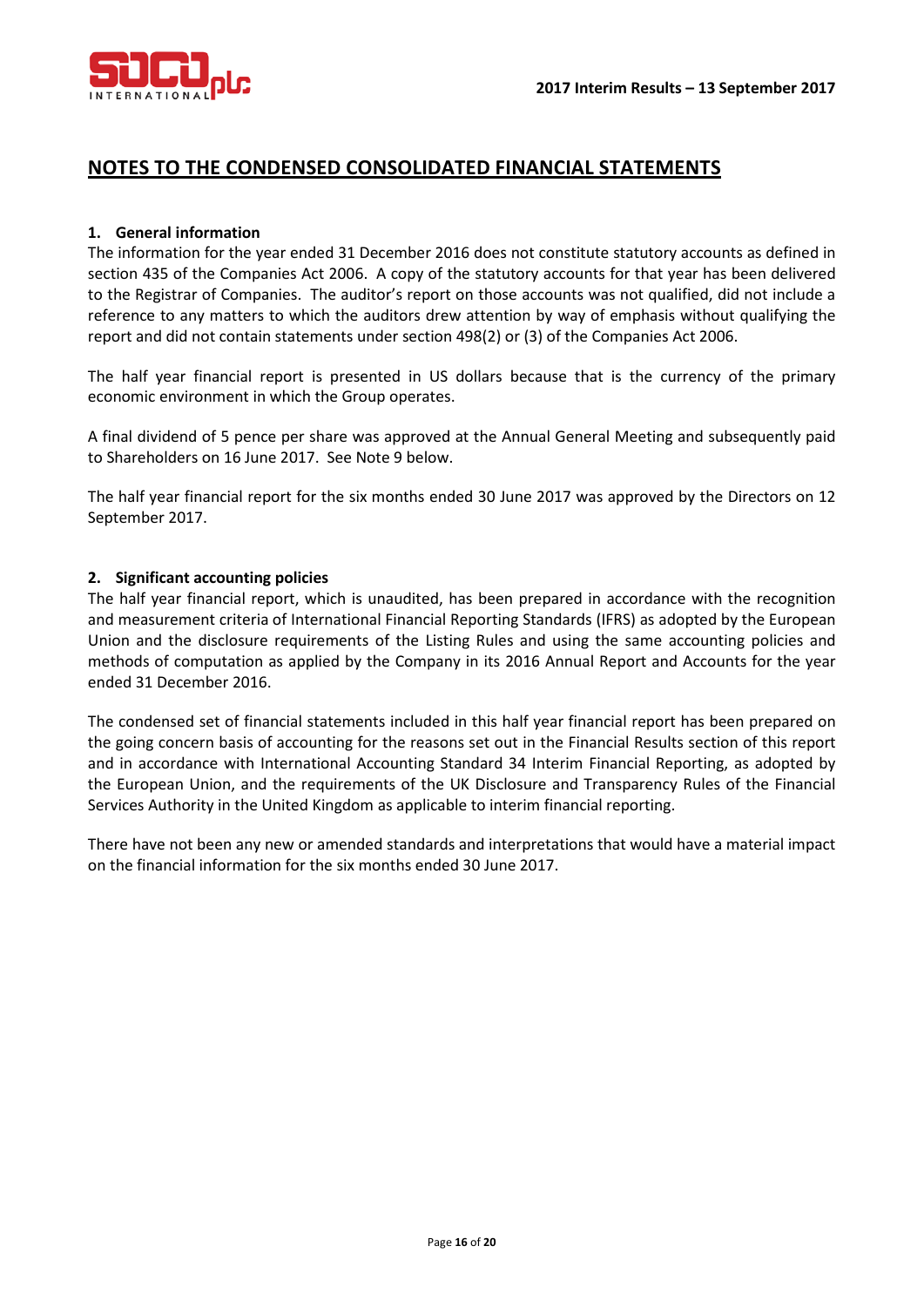

# **NOTES TO THE CONDENSED CONSOLIDATED FINANCIAL STATEMENTS**

## **1. General information**

The information for the year ended 31 December 2016 does not constitute statutory accounts as defined in section 435 of the Companies Act 2006. A copy of the statutory accounts for that year has been delivered to the Registrar of Companies. The auditor's report on those accounts was not qualified, did not include a reference to any matters to which the auditors drew attention by way of emphasis without qualifying the report and did not contain statements under section 498(2) or (3) of the Companies Act 2006.

The half year financial report is presented in US dollars because that is the currency of the primary economic environment in which the Group operates.

A final dividend of 5 pence per share was approved at the Annual General Meeting and subsequently paid to Shareholders on 16 June 2017. See Note 9 below.

The half year financial report for the six months ended 30 June 2017 was approved by the Directors on 12 September 2017.

#### **2. Significant accounting policies**

The half year financial report, which is unaudited, has been prepared in accordance with the recognition and measurement criteria of International Financial Reporting Standards (IFRS) as adopted by the European Union and the disclosure requirements of the Listing Rules and using the same accounting policies and methods of computation as applied by the Company in its 2016 Annual Report and Accounts for the year ended 31 December 2016.

The condensed set of financial statements included in this half year financial report has been prepared on the going concern basis of accounting for the reasons set out in the Financial Results section of this report and in accordance with International Accounting Standard 34 Interim Financial Reporting, as adopted by the European Union, and the requirements of the UK Disclosure and Transparency Rules of the Financial Services Authority in the United Kingdom as applicable to interim financial reporting.

There have not been any new or amended standards and interpretations that would have a material impact on the financial information for the six months ended 30 June 2017.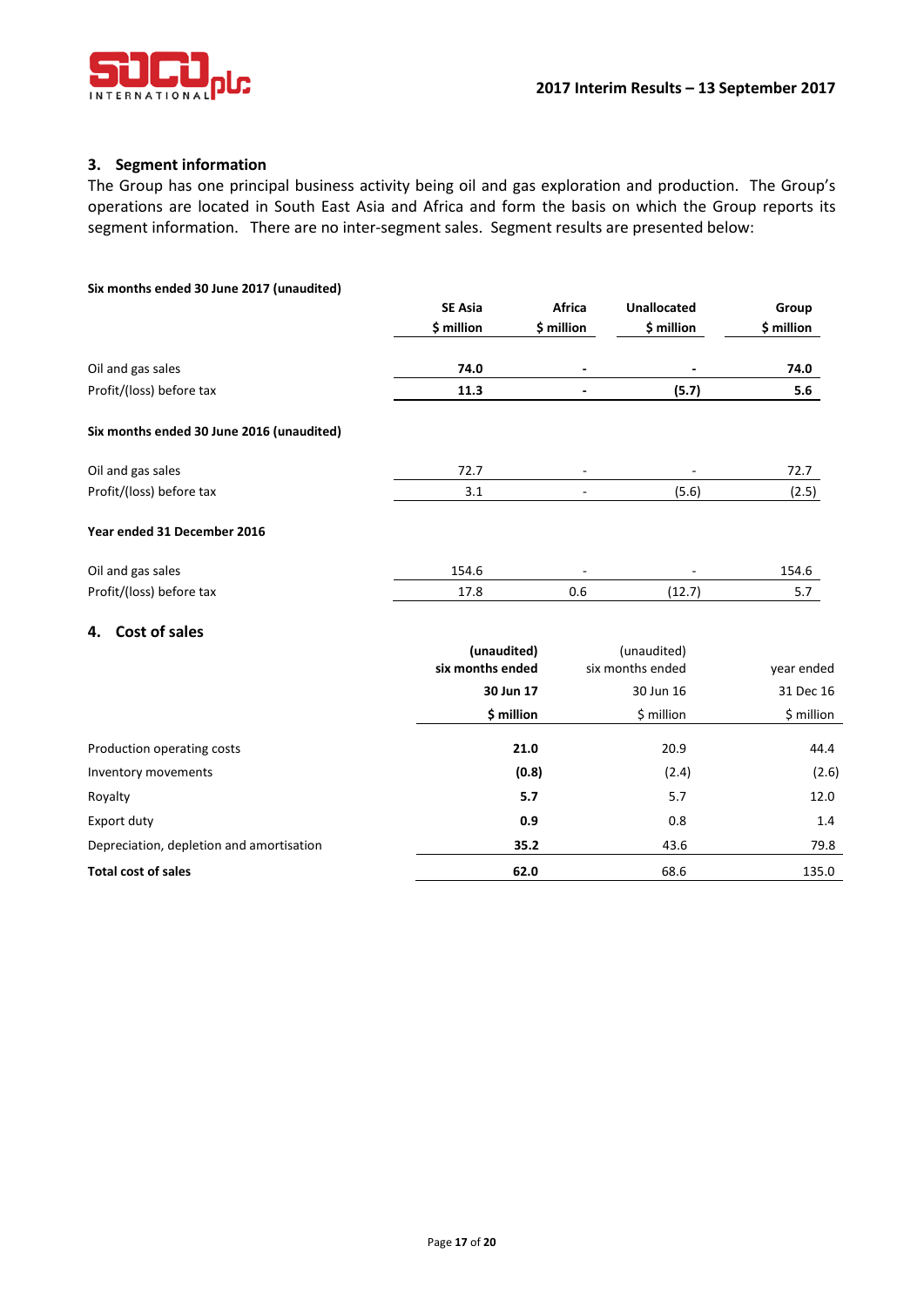

## **3. Segment information**

The Group has one principal business activity being oil and gas exploration and production. The Group's operations are located in South East Asia and Africa and form the basis on which the Group reports its segment information. There are no inter-segment sales. Segment results are presented below:

| Six months ended 30 June 2017 (unaudited) |                                 |                          |                                 |            |
|-------------------------------------------|---------------------------------|--------------------------|---------------------------------|------------|
|                                           | <b>SE Asia</b>                  | <b>Africa</b>            | <b>Unallocated</b>              | Group      |
|                                           | \$ million                      | \$ million               | \$ million                      | \$ million |
| Oil and gas sales                         | 74.0                            |                          |                                 | 74.0       |
| Profit/(loss) before tax                  | 11.3                            |                          | (5.7)                           | 5.6        |
| Six months ended 30 June 2016 (unaudited) |                                 |                          |                                 |            |
| Oil and gas sales                         | 72.7                            |                          |                                 | 72.7       |
| Profit/(loss) before tax                  | 3.1                             | $\overline{\phantom{a}}$ | (5.6)                           | (2.5)      |
| Year ended 31 December 2016               |                                 |                          |                                 |            |
| Oil and gas sales                         | 154.6                           |                          |                                 | 154.6      |
| Profit/(loss) before tax                  | 17.8                            | 0.6                      | (12.7)                          | 5.7        |
| <b>Cost of sales</b><br>4.                |                                 |                          |                                 |            |
|                                           | (unaudited)<br>six months ended |                          | (unaudited)<br>six months ended | year ended |
|                                           | 30 Jun 17                       |                          | 30 Jun 16                       | 31 Dec 16  |
|                                           | \$ million                      |                          | \$ million                      | \$ million |
| Production operating costs                | 21.0                            |                          | 20.9                            | 44.4       |
| Inventory movements                       | (0.8)                           |                          | (2.4)                           | (2.6)      |
| Royalty                                   | 5.7                             |                          | 5.7                             | 12.0       |
| Export duty                               | 0.9                             |                          | 0.8                             | 1.4        |
| Depreciation, depletion and amortisation  | 35.2                            |                          | 43.6                            | 79.8       |
| <b>Total cost of sales</b>                | 62.0                            |                          | 68.6                            | 135.0      |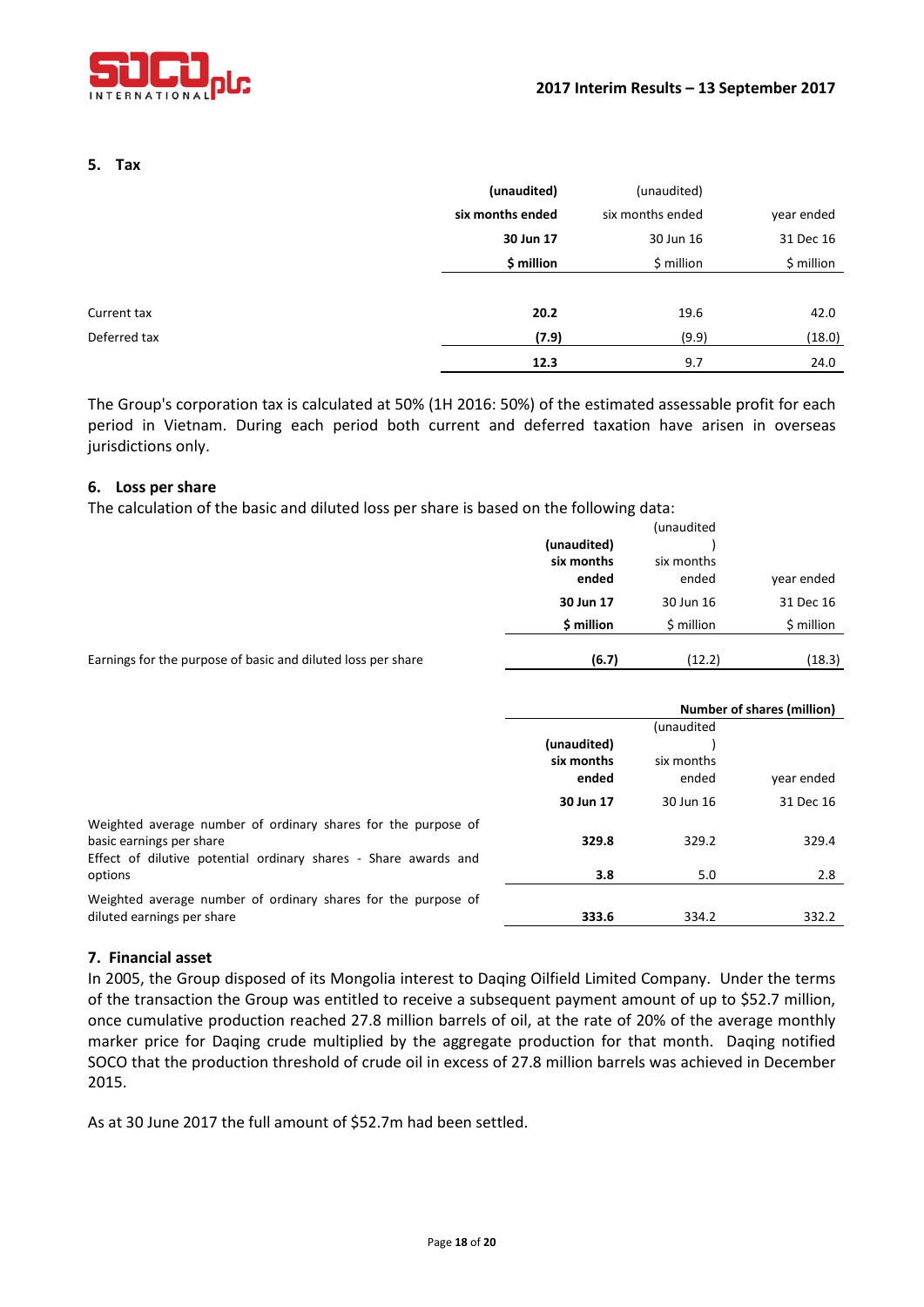

## **5. Tax**

|              | (unaudited)      | (unaudited)      |            |
|--------------|------------------|------------------|------------|
|              | six months ended | six months ended | year ended |
|              | 30 Jun 17        | 30 Jun 16        | 31 Dec 16  |
|              | \$ million       | \$ million       | \$ million |
|              |                  |                  |            |
| Current tax  | 20.2             | 19.6             | 42.0       |
| Deferred tax | (7.9)            | (9.9)            | (18.0)     |
|              | 12.3             | 9.7              | 24.0       |

The Group's corporation tax is calculated at 50% (1H 2016: 50%) of the estimated assessable profit for each period in Vietnam. During each period both current and deferred taxation have arisen in overseas jurisdictions only.

#### **6. Loss per share**

The calculation of the basic and diluted loss per share is based on the following data:

|             | (unaudited |            |
|-------------|------------|------------|
| (unaudited) |            |            |
| six months  | six months |            |
| ended       | ended      | year ended |
| 30 Jun 17   | 30 Jun 16  | 31 Dec 16  |
| \$ million  | \$ million | \$ million |
|             |            |            |
| (6.7)       | (12.2)     | (18.3)     |
|             |            |            |

|                                                                                                                                                              | <b>Number of shares (million)</b> |            |            |
|--------------------------------------------------------------------------------------------------------------------------------------------------------------|-----------------------------------|------------|------------|
|                                                                                                                                                              |                                   | (unaudited |            |
|                                                                                                                                                              | (unaudited)                       |            |            |
|                                                                                                                                                              | six months                        | six months |            |
|                                                                                                                                                              | ended                             | ended      | year ended |
|                                                                                                                                                              | 30 Jun 17                         | 30 Jun 16  | 31 Dec 16  |
| Weighted average number of ordinary shares for the purpose of<br>basic earnings per share<br>Effect of dilutive potential ordinary shares - Share awards and | 329.8                             | 329.2      | 329.4      |
| options                                                                                                                                                      | 3.8                               | 5.0        | 2.8        |
| Weighted average number of ordinary shares for the purpose of<br>diluted earnings per share                                                                  | 333.6                             | 334.2      | 332.2      |

## **7. Financial asset**

In 2005, the Group disposed of its Mongolia interest to Daqing Oilfield Limited Company. Under the terms of the transaction the Group was entitled to receive a subsequent payment amount of up to \$52.7 million, once cumulative production reached 27.8 million barrels of oil, at the rate of 20% of the average monthly marker price for Daqing crude multiplied by the aggregate production for that month. Daqing notified SOCO that the production threshold of crude oil in excess of 27.8 million barrels was achieved in December 2015.

As at 30 June 2017 the full amount of \$52.7m had been settled.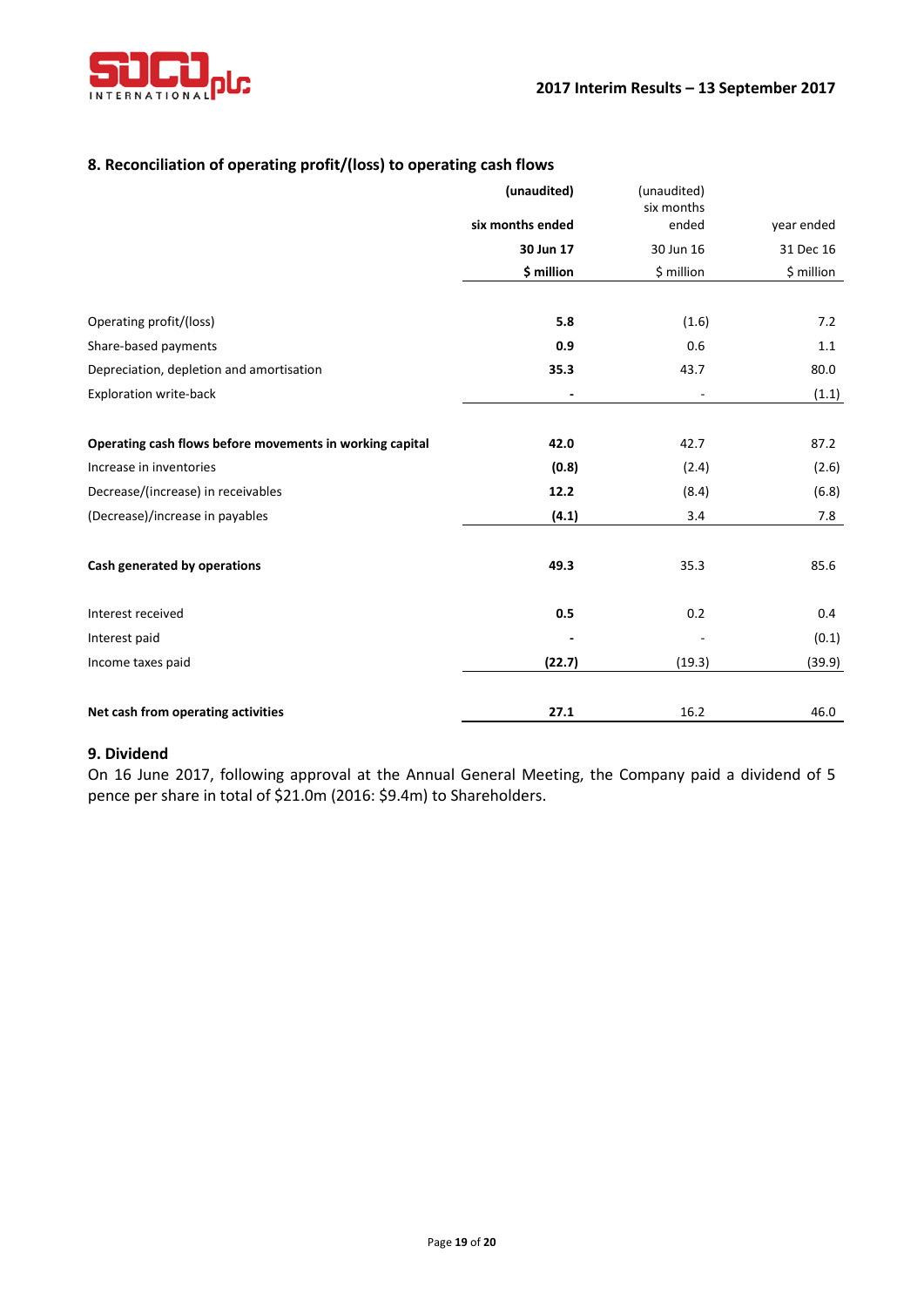

## **8. Reconciliation of operating profit/(loss) to operating cash flows**

|                                                          | (unaudited)<br>six months ended | (unaudited)<br>six months<br>ended | year ended |
|----------------------------------------------------------|---------------------------------|------------------------------------|------------|
|                                                          | 30 Jun 17                       | 30 Jun 16                          | 31 Dec 16  |
|                                                          | \$ million                      | \$ million                         | \$ million |
| Operating profit/(loss)                                  | 5.8                             | (1.6)                              | 7.2        |
| Share-based payments                                     | 0.9                             | 0.6                                | 1.1        |
| Depreciation, depletion and amortisation                 | 35.3                            | 43.7                               | 80.0       |
| Exploration write-back                                   |                                 | $\overline{\phantom{a}}$           | (1.1)      |
| Operating cash flows before movements in working capital | 42.0                            | 42.7                               | 87.2       |
| Increase in inventories                                  | (0.8)                           | (2.4)                              | (2.6)      |
| Decrease/(increase) in receivables                       | 12.2                            | (8.4)                              | (6.8)      |
| (Decrease)/increase in payables                          | (4.1)                           | 3.4                                | 7.8        |
| Cash generated by operations                             | 49.3                            | 35.3                               | 85.6       |
| Interest received                                        | 0.5                             | 0.2                                | 0.4        |
| Interest paid                                            |                                 |                                    | (0.1)      |
| Income taxes paid                                        | (22.7)                          | (19.3)                             | (39.9)     |
| Net cash from operating activities                       | 27.1                            | 16.2                               | 46.0       |

#### **9. Dividend**

On 16 June 2017, following approval at the Annual General Meeting, the Company paid a dividend of 5 pence per share in total of \$21.0m (2016: \$9.4m) to Shareholders.